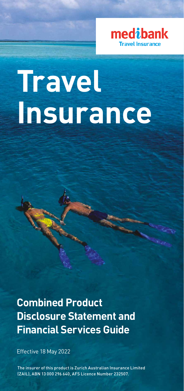

# **Travel Insurance**

**Combined Product Disclosure Statement and Financial Services Guide**

Effective 18 May 2022

The insurer of this product is Zurich Australian Insurance Limited (ZAIL), ABN 13 000 296 640, AFS Licence Number 232507.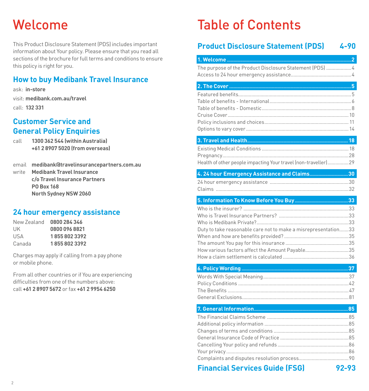## <span id="page-1-0"></span>Welcome

This Product Disclosure Statement (PDS) includes important information about Your policy. Please ensure that you read all sections of the brochure for full terms and conditions to ensure this policy is right for you.

## **How to buy Medibank Travel Insurance**

ask: **in-store**

visit: **medibank.com.au/travel**

call: **132 331**

## **Customer Service and General Policy Enquiries**

call **1300 362 544 (within Australia) +61 2 8907 5020 (from overseas)**

|       | email medibank@travelinsurancepartners.com.au |
|-------|-----------------------------------------------|
| write | <b>Medibank Travel Insurance</b>              |
|       | c/o Travel Insurance Partners                 |
|       | <b>PO Box 168</b>                             |

**North Sydney NSW 2060**

## **24 hour emergency assistance**

| 0800 284 346  |
|---------------|
| 0800 096 8821 |
| 18558023392   |
| 18558023392   |
|               |

Charges may apply if calling from a pay phone or mobile phone.

From all other countries or if You are experiencing difficulties from one of the numbers above: call **+61 2 8907 5672** or fax **+61 2 9954 6250**

## Table of Contents

## **Product Disclosure Statement (PDS) 4[-90](#page-45-0)**

| The purpose of the Product Disclosure Statement (PDS)  4                                                          |       |
|-------------------------------------------------------------------------------------------------------------------|-------|
|                                                                                                                   |       |
|                                                                                                                   |       |
|                                                                                                                   |       |
| Health of other people impacting Your travel (non-traveller)29                                                    |       |
| 4. 24 hour Emergency Assistance and Claims30                                                                      |       |
|                                                                                                                   |       |
|                                                                                                                   |       |
| Duty to take reasonable care not to make a misrepresentation33<br>How various factors affect the Amount Payable35 |       |
|                                                                                                                   |       |
|                                                                                                                   |       |
|                                                                                                                   |       |
|                                                                                                                   |       |
| <b>Financial Services Guide (FSG)</b>                                                                             | 92-93 |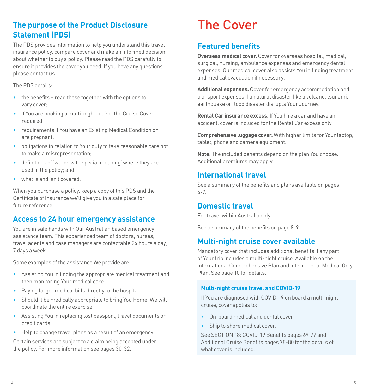## <span id="page-2-0"></span>**The purpose of the Product Disclosure Statement (PDS)**

The PDS provides information to help you understand this travel insurance policy, compare cover and make an informed decision about whether to buy a policy. Please read the PDS carefully to ensure it provides the cover you need. If you have any questions please contact us.

The PDS details:

- the benefits read these together with the options to vary cover;
- if You are booking a multi-night cruise, the Cruise Cover required;
- requirements if You have an Existing Medical Condition or are pregnant;
- obligations in relation to Your duty to take reasonable care not to make a misrepresentation;
- definitions of 'words with special meaning' where they are used in the policy; and
- what is and isn't covered.

When you purchase a policy, keep a copy of this PDS and the Certificate of Insurance we'll give you in a safe place for future reference.

### <span id="page-2-1"></span>**Access to 24 hour emergency assistance**

You are in safe hands with Our Australian based emergency assistance team. This experienced team of doctors, nurses, travel agents and case managers are contactable 24 hours a day, 7 days a week.

Some examples of the assistance We provide are:

- Assisting You in finding the appropriate medical treatment and then monitoring Your medical care.
- Paying larger medical bills directly to the hospital.
- Should it be medically appropriate to bring You Home, We will coordinate the entire exercise.
- Assisting You in replacing lost passport, travel documents or credit cards.
- Help to change travel plans as a result of an emergency.

Certain services are subject to a claim being accepted under the policy. For more information see pages [30](#page-15-1)-[32](#page-16-0).

## <span id="page-2-2"></span>The Cover

## <span id="page-2-3"></span>**Featured benefits**

**Overseas medical cover.** Cover for overseas hospital, medical, surgical, nursing, ambulance expenses and emergency dental expenses. Our medical cover also assists You in finding treatment and medical evacuation if necessary.

**Additional expenses.** Cover for emergency accommodation and transport expenses if a natural disaster like a volcano, tsunami, earthquake or flood disaster disrupts Your Journey.

**Rental Car insurance excess.** If You hire a car and have an accident, cover is included for the Rental Car excess only.

**Comprehensive luggage cover.** With higher limits for Your laptop, tablet, phone and camera equipment.

**Note:** The included benefits depend on the plan You choose. Additional premiums may apply.

### **International travel**

See a summary of the benefits and plans available on pages [6-](#page-3-0)7.

### **Domestic travel**

For travel within Australia only.

See a summary of the benefits on page [8-](#page-4-0)9.

### **Multi-night cruise cover available**

Mandatory cover that includes additional benefits if any part of Your trip includes a multi-night cruise. Available on the International Comprehensive Plan and International Medical Only Plan. See page [10](#page-5-0) for details.

#### **Multi-night cruise travel and COVID-19**

If You are diagnosed with COVID-19 on board a multi-night cruise, cover applies to:

- On-board medical and dental cover
- Ship to shore medical cover.

See SECTION 18: COVID-19 Benefits pages [69](#page-34-0)[-77](#page-38-0) and Additional Cruise Benefits pages [78-](#page-39-0)[80](#page-40-1) for the details of what cover is included.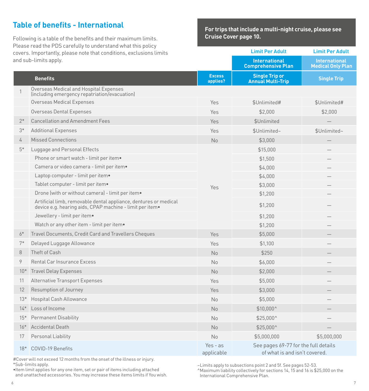## <span id="page-3-0"></span>**Table of benefits - International**

Following is a table of the benefits and their maximum limits. Please read the PDS carefully to understand what this policy and sub-limits apply.

**For trips that include a multi-night cruise, please see Cruise Cover page [10.](#page-5-0)**

| covers. Importantly, please note that conditions, exclusions limits<br>and sub-limits apply. |                                                                                                                              |                           | <b>Limit Per Adult</b>                                                | <b>Limit Per Adult</b>                           |
|----------------------------------------------------------------------------------------------|------------------------------------------------------------------------------------------------------------------------------|---------------------------|-----------------------------------------------------------------------|--------------------------------------------------|
|                                                                                              |                                                                                                                              |                           | <b>International</b><br><b>Comprehensive Plan</b>                     | <b>International</b><br><b>Medical Only Plan</b> |
|                                                                                              | <b>Benefits</b>                                                                                                              | <b>Excess</b><br>applies? | <b>Single Trip or</b><br><b>Annual Multi-Trip</b>                     | <b>Single Trip</b>                               |
| $\mathbf{1}$                                                                                 | Overseas Medical and Hospital Expenses<br>(including emergency repatriation/evacuation)                                      |                           |                                                                       |                                                  |
|                                                                                              | Overseas Medical Expenses                                                                                                    | Yes                       | \$Unlimited#                                                          | \$Unlimited#                                     |
|                                                                                              | Overseas Dental Expenses                                                                                                     | Yes                       | \$2,000                                                               | \$2,000                                          |
| $2*$                                                                                         | <b>Cancellation and Amendment Fees</b>                                                                                       | Yes                       | \$Unlimited                                                           |                                                  |
| $3*$                                                                                         | <b>Additional Expenses</b>                                                                                                   | Yes                       | \$Unlimited~                                                          | \$Unlimited~                                     |
| 4                                                                                            | <b>Missed Connections</b>                                                                                                    | No                        | \$3,000                                                               |                                                  |
| $5*$                                                                                         | Luggage and Personal Effects                                                                                                 |                           | \$15,000                                                              |                                                  |
|                                                                                              | Phone or smart watch - limit per item.                                                                                       |                           | \$1,500                                                               |                                                  |
|                                                                                              | Camera or video camera - limit per item.                                                                                     |                           | \$4,000                                                               |                                                  |
|                                                                                              | Laptop computer - limit per item.                                                                                            |                           | \$4,000                                                               |                                                  |
|                                                                                              | Tablet computer - limit per item.                                                                                            | Yes                       | \$3,000                                                               |                                                  |
|                                                                                              | Drone (with or without camera) - limit per item.                                                                             |                           | \$1,200                                                               |                                                  |
|                                                                                              | Artificial limb, removable dental appliance, dentures or medical<br>device e.g. hearing aids, CPAP machine - limit per item. |                           | \$1,200                                                               |                                                  |
|                                                                                              | Jewellery - limit per item.                                                                                                  |                           | \$1,200                                                               |                                                  |
|                                                                                              | Watch or any other item - limit per item.                                                                                    |                           | \$1,200                                                               |                                                  |
| $6*$                                                                                         | Travel Documents, Credit Card and Travellers Cheques                                                                         | Yes                       | \$5,000                                                               |                                                  |
| $7*$                                                                                         | Delayed Luggage Allowance                                                                                                    | Yes                       | \$1,100                                                               |                                                  |
| 8                                                                                            | Theft of Cash                                                                                                                | No                        | \$250                                                                 |                                                  |
| 9                                                                                            | Rental Car Insurance Excess                                                                                                  | No                        | \$6,000                                                               |                                                  |
| $10*$                                                                                        | <b>Travel Delay Expenses</b>                                                                                                 | <b>No</b>                 | \$2,000                                                               |                                                  |
| 11                                                                                           | <b>Alternative Transport Expenses</b>                                                                                        | Yes                       | \$5,000                                                               |                                                  |
| 12                                                                                           | Resumption of Journey                                                                                                        | Yes                       | \$3,000                                                               |                                                  |
| $13*$                                                                                        | <b>Hospital Cash Allowance</b>                                                                                               | No                        | \$5,000                                                               |                                                  |
| $14*$                                                                                        | Loss of Income                                                                                                               | No                        | \$10,000^                                                             |                                                  |
| $15*$                                                                                        | <b>Permanent Disability</b>                                                                                                  | No                        | $$25,000^{\circ}$                                                     |                                                  |
| $16*$                                                                                        | <b>Accidental Death</b>                                                                                                      | No                        | $$25,000^{\circ}$                                                     |                                                  |
| 17                                                                                           | Personal Liability                                                                                                           | No                        | \$5,000,000                                                           | \$5,000,000                                      |
| $18*$                                                                                        | <b>COVID-19 Benefits</b>                                                                                                     | $Yes - as$<br>applicable  | See pages 69-77 for the full details<br>of what is and isn't covered. |                                                  |

#Cover will not exceed 12 months from the onset of the illness or injury. \*Sub-limits apply.

•Item limit applies for any one item, set or pair of items including attached and unattached accessories. You may increase these items limits if You wish. ~Limits apply to subsections point 2 and 5f. See pages [52](#page-26-0)[-53.](#page-26-1)

^Maximum liability collectively for sections 14, 15 and 16 is \$25,000 on the International Comprehensive Plan.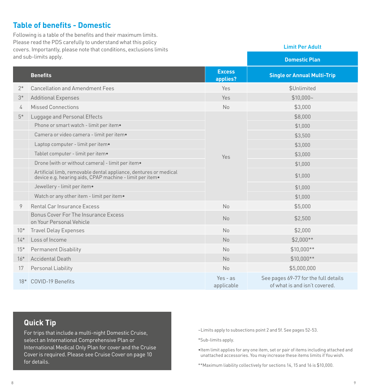## <span id="page-4-0"></span>**Table of benefits - Domestic**

Following is a table of the benefits and their maximum limits. Please read the PDS carefully to understand what this policy covers. Importantly, please note that conditions, exclusions limits and sub-limits annly

| ana sabi umutsiappuy. |                                                                                                                              |                           | <b>Domestic Plan</b>                                                  |
|-----------------------|------------------------------------------------------------------------------------------------------------------------------|---------------------------|-----------------------------------------------------------------------|
|                       | <b>Benefits</b>                                                                                                              | <b>Excess</b><br>applies? | <b>Single or Annual Multi-Trip</b>                                    |
| $2*$                  | <b>Cancellation and Amendment Fees</b>                                                                                       | Yes                       | \$Unlimited                                                           |
| $3*$                  | <b>Additional Expenses</b>                                                                                                   | Yes                       | $$10.000-$                                                            |
| 4                     | Missed Connections                                                                                                           | <b>No</b>                 | \$3,000                                                               |
| $5*$                  | Luggage and Personal Effects                                                                                                 |                           | \$8,000                                                               |
|                       | Phone or smart watch - limit per item.                                                                                       |                           | \$1,000                                                               |
|                       | Camera or video camera - limit per item.                                                                                     |                           | \$3,500                                                               |
|                       | Laptop computer - limit per item.                                                                                            |                           | \$3,000                                                               |
|                       | Tablet computer - limit per item.                                                                                            | Yes                       | \$3,000                                                               |
|                       | Drone (with or without camera) - limit per item.                                                                             |                           | \$1,000                                                               |
|                       | Artificial limb, removable dental appliance, dentures or medical<br>device e.g. hearing aids, CPAP machine - limit per item. |                           | \$1,000                                                               |
|                       | Jewellery - limit per item.                                                                                                  |                           | \$1,000                                                               |
|                       | Watch or any other item - limit per item.                                                                                    |                           | \$1,000                                                               |
| 9                     | Rental Car Insurance Excess                                                                                                  | <b>No</b>                 | \$5,000                                                               |
|                       | Bonus Cover For The Insurance Excess<br>on Your Personal Vehicle                                                             | <b>No</b>                 | \$2,500                                                               |
| $10*$                 | <b>Travel Delay Expenses</b>                                                                                                 | No                        | \$2,000                                                               |
| $14*$                 | Loss of Income                                                                                                               | <b>No</b>                 | $$2.000**$                                                            |
| $15*$                 | <b>Permanent Disability</b>                                                                                                  | No                        | $$10,000**$                                                           |
| $16*$                 | <b>Accidental Death</b>                                                                                                      | <b>No</b>                 | $$10,000**$                                                           |
| 17                    | Personal Liability                                                                                                           | <b>No</b>                 | \$5,000,000                                                           |
| $18*$                 | <b>COVID-19 Benefits</b>                                                                                                     | $Yes - as$<br>applicable  | See pages 69-77 for the full details<br>of what is and isn't covered. |

## **Quick Tip**

For trips that include a multi-night Domestic Cruise, select an International Comprehensive Plan or International Medical Only Plan for cover and the Cruise Cover is required. Please see Cruise Cover on page [10](#page-5-0) for details.

~Limits apply to subsections point 2 and 5f. See pages [52-](#page-26-0)[53.](#page-26-1)

\*Sub-limits apply.

•Item limit applies for any one item, set or pair of items including attached and unattached accessories. You may increase these items limits if You wish.

**Limit Per Adult**

\*\*Maximum liability collectively for sections 14, 15 and 16 is \$10,000.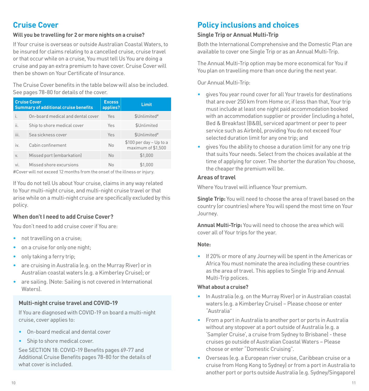## <span id="page-5-0"></span>**Cruise Cover**

#### **Will you be travelling for 2 or more nights on a cruise?**

If Your cruise is overseas or outside Australian Coastal Waters, to be insured for claims relating to a cancelled cruise, cruise travel or that occur while on a cruise, You must tell Us You are doing a cruise and pay an extra premium to have cover. Cruise Cover will then be shown on Your Certificate of Insurance.

The Cruise Cover benefits in the table below will also be included. See pages [78](#page-39-0)[-80](#page-40-2) for details of the cover.

| <b>Cruise Cover</b><br><b>Summary of additional cruise benefits</b> |                                   | <b>Excess</b><br>applies? | Limit                                         |
|---------------------------------------------------------------------|-----------------------------------|---------------------------|-----------------------------------------------|
| i.                                                                  | On-board medical and dental cover | Yes                       | \$Unlimited#                                  |
| ii.                                                                 | Ship to shore medical cover       | Yes                       | \$Unlimited                                   |
| iii.                                                                | Sea sickness cover                | Yes                       | \$Unlimited#                                  |
| iv.                                                                 | Cabin confinement                 | No                        | \$100 per day - Up to a<br>maximum of \$1,500 |
| V.                                                                  | Missed port (embarkation)         | <b>No</b>                 | \$1,000                                       |
| vi.                                                                 | Missed shore excursions           | N <sub>0</sub>            | \$1,000                                       |

#Cover will not exceed 12 months from the onset of the illness or injury.

If You do not tell Us about Your cruise, claims in any way related to Your multi-night cruise, and multi-night cruise travel or that arise while on a multi-night cruise are specifically excluded by this policy.

#### **When don't I need to add Cruise Cover?**

You don't need to add cruise cover if You are:

- not travelling on a cruise;
- on a cruise for only one night;
- only taking a ferry trip;
- are cruising in Australia (e.g. on the Murray River) or in Australian coastal waters (e.g. a Kimberley Cruise); or
- are sailing. (Note: Sailing is not covered in International Waters).

#### **Multi-night cruise travel and COVID-19**

If You are diagnosed with COVID-19 on board a multi-night cruise, cover applies to:

- On-board medical and dental cover
- Ship to shore medical cover.

See SECTION 18: COVID-19 Benefits pages [69](#page-34-0)[-77](#page-38-0) and Additional Cruise Benefits pages [78](#page-39-0)-[80](#page-40-1) for the details of what cover is included.

## <span id="page-5-1"></span>**Policy inclusions and choices**

#### **Single Trip or Annual Multi-Trip**

Both the International Comprehensive and the Domestic Plan are available to cover one Single Trip or as an Annual Multi-Trip.

The Annual Multi-Trip option may be more economical for You if You plan on travelling more than once during the next year.

Our Annual Multi-Trip:

- gives You year round cover for all Your travels for destinations that are over 250 km from Home or, if less than that, Your trip must include at least one night paid accommodation booked with an accommodation supplier or provider (including a hotel, Bed & Breakfast (B&B), serviced apartment or peer to peer service such as Airbnb), providing You do not exceed Your selected duration limit for any one trip; and
- gives You the ability to choose a duration limit for any one trip that suits Your needs. Select from the choices available at the time of applying for cover. The shorter the duration You choose, the cheaper the premium will be.

#### **Areas of travel**

Where You travel will influence Your premium.

**Single Trip:** You will need to choose the area of travel based on the country (or countries) where You will spend the most time on Your Journey.

**Annual Multi-Trip:** You will need to choose the area which will cover all of Your trips for the year.

#### **Note:**

• If 20% or more of any Journey will be spent in the Americas or Africa You must nominate the area including these countries as the area of travel. This applies to Single Trip and Annual Multi-Trip polices.

#### **What about a cruise?**

- In Australia (e.g. on the Murray River) or in Australian coastal waters (e.g. a Kimberley Cruise) – Please choose or enter "Australia"
- From a port in Australia to another port or ports in Australia without any stopover at a port outside of Australia (e.g. a 'Sampler Cruise', a cruise from Sydney to Brisbane) - these cruises go outside of Australian Coastal Waters – Please choose or enter "Domestic Cruising".
- Overseas (e.g. a European river cruise, Caribbean cruise or a cruise from Hong Kong to Sydney) or from a port in Australia to another port or ports outside Australia (e.g. Sydney/Singapore)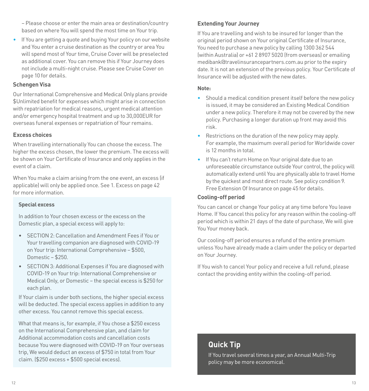– Please choose or enter the main area or destination/country based on where You will spend the most time on Your trip.

• If You are getting a quote and buying Your policy on our website and You enter a cruise destination as the country or area You will spend most of Your time, Cruise Cover will be preselected as additional cover. You can remove this if Your Journey does not include a multi-night cruise. Please see Cruise Cover on page [10](#page-5-0) for details.

#### **Schengen Visa**

Our International Comprehensive and Medical Only plans provide \$Unlimited benefit for expenses which might arise in connection with repatriation for medical reasons, urgent medical attention and/or emergency hospital treatment and up to 30,000EUR for overseas funeral expenses or repatriation of Your remains.

#### **Excess choices**

When travelling internationally You can choose the excess. The higher the excess chosen, the lower the premium. The excess will be shown on Your Certificate of Insurance and only applies in the event of a claim.

When You make a claim arising from the one event, an excess (if applicable) will only be applied once. See 1. Excess on page [42](#page-21-1)  for more information.

#### **Special excess**

In addition to Your chosen excess or the excess on the Domestic plan, a special excess will apply to:

- SECTION 2: Cancellation and Amendment Fees if You or Your travelling companion are diagnosed with COVID-19 on Your trip: International Comprehensive – \$500, Domestic – \$250.
- SECTION 3: Additional Expenses if You are diagnosed with COVID-19 on Your trip: International Comprehensive or Medical Only, or Domestic – the special excess is \$250 for each plan.

If Your claim is under both sections, the higher special excess will be deducted. The special excess applies in addition to any other excess. You cannot remove this special excess.

What that means is, for example, if You chose a \$250 excess on the International Comprehensive plan, and claim for Additional accommodation costs and cancellation costs because You were diagnosed with COVID-19 on Your overseas trip, We would deduct an excess of \$750 in total from Your claim. (\$250 excess + \$500 special excess).

#### **Extending Your Journey**

If You are travelling and wish to be insured for longer than the original period shown on Your original Certificate of Insurance, You need to purchase a new policy by calling 1300 362 544 (within Australia) or +61 2 8907 5020 (from overseas) or emailing medibank@travelinsurancepartners.com.au prior to the expiry date. It is not an extension of the previous policy. Your Certificate of Insurance will be adjusted with the new dates.

#### **Note:**

- Should a medical condition present itself before the new policy is issued, it may be considered an Existing Medical Condition under a new policy. Therefore it may not be covered by the new policy. Purchasing a longer duration up front may avoid this risk.
- Restrictions on the duration of the new policy may apply. For example, the maximum overall period for Worldwide cover is 12 months in total.
- If You can't return Home on Your original date due to an unforeseeable circumstance outside Your control, the policy will automatically extend until You are physically able to travel Home by the quickest and most direct route. See policy condition [9.](#page-22-0)  [Free Extension Of Insurance on page 45](#page-22-0) for details.

#### <span id="page-6-0"></span>**Cooling-off period**

You can cancel or change Your policy at any time before You leave Home. If You cancel this policy for any reason within the cooling-off period which is within 21 days of the date of purchase, We will give You Your money back.

Our cooling-off period ensures a refund of the entire premium unless You have already made a claim under the policy or departed on Your Journey.

If You wish to cancel Your policy and receive a full refund, please contact the providing entity within the cooling-off period.

## **Quick Tip**

If You travel several times a year, an Annual Multi-Trip policy may be more economical.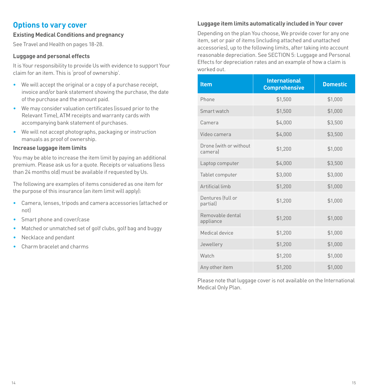### <span id="page-7-0"></span>**Options to vary cover**

#### **Existing Medical Conditions and pregnancy**

See Travel and Health on pages [18](#page-9-0)[-28](#page-14-2).

#### **Luggage and personal effects**

It is Your responsibility to provide Us with evidence to support Your claim for an item. This is 'proof of ownership'.

- We will accept the original or a copy of a purchase receipt, invoice and/or bank statement showing the purchase, the date of the purchase and the amount paid.
- We may consider valuation certificates (issued prior to the Relevant Time), ATM receipts and warranty cards with accompanying bank statement of purchases.
- We will not accept photographs, packaging or instruction manuals as proof of ownership.

#### **Increase luggage item limits**

You may be able to increase the item limit by paying an additional premium. Please ask us for a quote. Receipts or valuations (less than 24 months old) must be available if requested by Us.

The following are examples of items considered as one item for the purpose of this insurance (an item limit will apply):

- Camera, lenses, tripods and camera accessories (attached or not)
- Smart phone and cover/case
- Matched or unmatched set of golf clubs, golf bag and buggy
- Necklace and pendant
- Charm bracelet and charms

#### **Luggage item limits automatically included in Your cover**

Depending on the plan You choose, We provide cover for any one item, set or pair of items (including attached and unattached accessories), up to the following limits, after taking into account reasonable depreciation. See [SECTION 5: Luggage and Personal](#page-27-0)  [Effects](#page-27-0) for depreciation rates and an example of how a claim is worked out.

| <b>Item</b>                       | <b>International</b><br><b>Comprehensive</b> | <b>Domestic</b> |
|-----------------------------------|----------------------------------------------|-----------------|
| Phone                             | \$1,500                                      | \$1,000         |
| Smart watch                       | \$1,500                                      | \$1,000         |
| Camera                            | \$4,000                                      | \$3,500         |
| Video camera                      | \$4,000                                      | \$3,500         |
| Drone (with or without<br>cameral | \$1,200                                      | \$1,000         |
| Laptop computer                   | \$4,000                                      | \$3,500         |
| Tablet computer                   | \$3,000                                      | \$3,000         |
| Artificial limb                   | \$1,200                                      | \$1,000         |
| Dentures (full or<br>partial)     | \$1,200                                      | \$1,000         |
| Removable dental<br>appliance     | \$1,200                                      | \$1,000         |
| Medical device                    | \$1,200                                      | \$1,000         |
| Jewellery                         | \$1,200                                      | \$1,000         |
| Watch                             | \$1,200                                      | \$1,000         |
| Any other item                    | \$1,200                                      | \$1,000         |

Please note that luggage cover is not available on the International Medical Only Plan.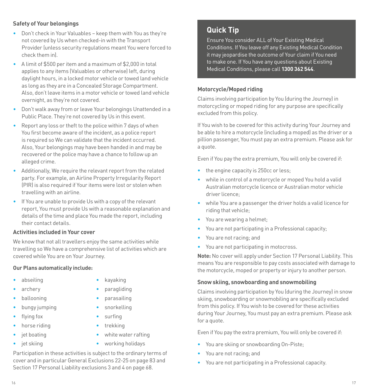#### **Safety of Your belongings**

- Don't check in Your Valuables keep them with You as they're not covered by Us when checked-in with the Transport Provider (unless security regulations meant You were forced to check them in).
- A limit of \$500 per item and a maximum of \$2,000 in total applies to any items (Valuables or otherwise) left, during daylight hours, in a locked motor vehicle or towed land vehicle as long as they are in a Concealed Storage Compartment. Also, don't leave items in a motor vehicle or towed land vehicle overnight, as they're not covered.
- Don't walk away from or leave Your belongings Unattended in a Public Place. They're not covered by Us in this event.
- Report any loss or theft to the police within 7 days of when You first become aware of the incident, as a police report is required so We can validate that the incident occurred. Also, Your belongings may have been handed in and may be recovered or the police may have a chance to follow up an alleged crime.
- Additionally, We require the relevant report from the related party. For example, an Airline Property Irregularity Report (PIR) is also required if Your items were lost or stolen when travelling with an airline.
- If You are unable to provide Us with a copy of the relevant report, You must provide Us with a reasonable explanation and details of the time and place You made the report, including their contact details.

#### **Activities included in Your cover**

We know that not all travellers enjoy the same activities while travelling so We have a comprehensive list of activities which are covered while You are on Your Journey.

#### **Our Plans automatically include:**

- abseiling archery
- ballooning
- bungy jumping
- flying fox
- horse riding
- jet boating
- jet skiing
- kayaking
- paragliding
- parasailing
- snorkelling
- surfing
- trekking
- white water rafting
- working holidays

Participation in these activities is subject to the ordinary terms of cover and in particular General Exclusions 22-25 on page [83](#page-41-0) and Section 17 Personal Liability exclusions 3 and 4 on page [68.](#page-34-1)

## **Quick Tip**

Ensure You consider ALL of Your Existing Medical Conditions. If You leave off any Existing Medical Condition it may jeopardise the outcome of Your claim if You need to make one. If You have any questions about Existing Medical Conditions, please call **1300 362 544**.

#### <span id="page-8-1"></span>**Motorcycle/Moped riding**

Claims involving participation by You (during the Journey) in motorcycling or moped riding for any purpose are specifically excluded from this policy.

If You wish to be covered for this activity during Your Journey and be able to hire a motorcycle (including a moped) as the driver or a pillion passenger, You must pay an extra premium. Please ask for a quote.

Even if You pay the extra premium, You will only be covered if:

- the engine capacity is 250cc or less:
- while in control of a motorcycle or moped You hold a valid Australian motorcycle licence or Australian motor vehicle driver licence;
- while You are a passenger the driver holds a valid licence for riding that vehicle;
- You are wearing a helmet;
- You are not participating in a Professional capacity;
- You are not racing; and
- You are not participating in motocross.

**Note:** No cover will apply under Section 17 Personal Liability. This means You are responsible to pay costs associated with damage to the motorcycle, moped or property or injury to another person.

#### <span id="page-8-0"></span>**Snow skiing, snowboarding and snowmobiling**

Claims involving participation by You (during the Journey) in snow skiing, snowboarding or snowmobiling are specifically excluded from this policy. If You wish to be covered for these activities during Your Journey, You must pay an extra premium. Please ask for a quote.

Even if You pay the extra premium, You will only be covered if:

- You are skiing or snowboarding On-Piste;
- You are not racing; and
- You are not participating in a Professional capacity.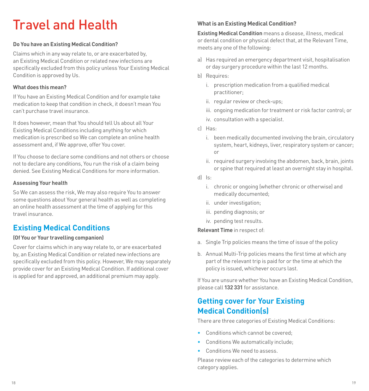## <span id="page-9-0"></span>Travel and Health

#### **Do You have an Existing Medical Condition?**

Claims which in any way relate to, or are exacerbated by, an Existing Medical Condition or related new infections are specifically excluded from this policy unless Your Existing Medical Condition is approved by Us.

#### **What does this mean?**

If You have an Existing Medical Condition and for example take medication to keep that condition in check, it doesn't mean You can't purchase travel insurance.

It does however, mean that You should tell Us about all Your Existing Medical Conditions including anything for which medication is prescribed so We can complete an online health assessment and, if We approve, offer You cover.

If You choose to declare some conditions and not others or choose not to declare any conditions, You run the risk of a claim being denied. See Existing Medical Conditions for more information.

#### **Assessing Your health**

So We can assess the risk, We may also require You to answer some questions about Your general health as well as completing an online health assessment at the time of applying for this travel insurance.

## <span id="page-9-1"></span>**Existing Medical Conditions**

#### **(Of You or Your travelling companion)**

Cover for claims which in any way relate to, or are exacerbated by, an Existing Medical Condition or related new infections are specifically excluded from this policy. However, We may separately provide cover for an Existing Medical Condition. If additional cover is applied for and approved, an additional premium may apply.

#### **What is an Existing Medical Condition?**

**Existing Medical Condition** means a disease, illness, medical or dental condition or physical defect that, at the Relevant Time, meets any one of the following:

- a) Has required an emergency department visit, hospitalisation or day surgery procedure within the last 12 months.
- b) Requires:
	- i. prescription medication from a qualified medical practitioner;
	- ii. regular review or check-ups;
	- iii. ongoing medication for treatment or risk factor control; or
	- iv. consultation with a specialist.
- c) Has:
	- i. been medically documented involving the brain, circulatory system, heart, kidneys, liver, respiratory system or cancer; or
	- ii. required surgery involving the abdomen, back, brain, joints or spine that required at least an overnight stay in hospital.
- d) Is:
	- i. chronic or ongoing (whether chronic or otherwise) and medically documented;
	- ii. under investigation;
	- iii. pending diagnosis; or
	- iv. pending test results.

**Relevant Time** in respect of:

- a. Single Trip policies means the time of issue of the policy
- b. Annual Multi-Trip policies means the first time at which any part of the relevant trip is paid for or the time at which the policy is issued, whichever occurs last.

If You are unsure whether You have an Existing Medical Condition, please call **132 331** for assistance.

## **Getting cover for Your Existing Medical Condition(s)**

There are three categories of Existing Medical Conditions:

- Conditions which cannot be covered
- Conditions We automatically include;
- Conditions We need to assess.

Please review each of the categories to determine which category applies.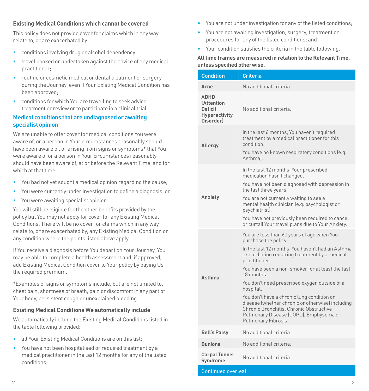#### **Existing Medical Conditions which cannot be covered**

This policy does not provide cover for claims which in any way relate to, or are exacerbated by:

- conditions involving drug or alcohol dependency;
- travel booked or undertaken against the advice of any medical practitioner;
- routine or cosmetic medical or dental treatment or surgery during the Journey, even if Your Existing Medical Condition has been approved;
- conditions for which You are travelling to seek advice, treatment or review or to participate in a clinical trial.

#### **Medical conditions that are undiagnosed or awaiting specialist opinion**

We are unable to offer cover for medical conditions You were aware of, or a person in Your circumstances reasonably should have been aware of, or arising from signs or symptoms\* that You were aware of or a person in Your circumstances reasonably should have been aware of, at or before the Relevant Time, and for which at that time:

- You had not yet sought a medical opinion regarding the cause;
- You were currently under investigation to define a diagnosis; or
- You were awaiting specialist opinion.

You will still be eligible for the other benefits provided by the policy but You may not apply for cover for any Existing Medical Conditions. There will be no cover for claims which in any way relate to, or are exacerbated by, any Existing Medical Condition or any condition where the points listed above apply.

If You receive a diagnosis before You depart on Your Journey, You may be able to complete a health assessment and, if approved, add Existing Medical Condition cover to Your policy by paying Us the required premium.

\*Examples of signs or symptoms include, but are not limited to, chest pain, shortness of breath, pain or discomfort in any part of Your body, persistent cough or unexplained bleeding.

#### **Existing Medical Conditions We automatically include**

We automatically include the Existing Medical Conditions listed in the table following provided:

- all Your Existing Medical Conditions are on this list;
- You have not been hospitalised or required treatment by a medical practitioner in the last 12 months for any of the listed conditions;
- You are not under investigation for any of the listed conditions;
- You are not awaiting investigation, surgery, treatment or procedures for any of the listed conditions; and
- Your condition satisfies the criteria in the table following.

#### **All time frames are measured in relation to the Relevant Time, unless specified otherwise.**

| <b>Condition</b>                                                                               | <b>Criteria</b>                                                                                                                                                                                                                                                                                                                                                                                                                                                                                                                        |
|------------------------------------------------------------------------------------------------|----------------------------------------------------------------------------------------------------------------------------------------------------------------------------------------------------------------------------------------------------------------------------------------------------------------------------------------------------------------------------------------------------------------------------------------------------------------------------------------------------------------------------------------|
| Acne                                                                                           | No additional criteria.                                                                                                                                                                                                                                                                                                                                                                                                                                                                                                                |
| <b>ADHD</b><br><b>(Attention</b><br><b>Deficit</b><br><b>Hyperactivity</b><br><b>Disorderl</b> | No additional criteria.                                                                                                                                                                                                                                                                                                                                                                                                                                                                                                                |
| Allergy                                                                                        | In the last 6 months, You haven't required<br>treatment by a medical practitioner for this<br>condition.<br>You have no known respiratory conditions (e.g.<br>Asthmal                                                                                                                                                                                                                                                                                                                                                                  |
| Anxiety                                                                                        | In the last 12 months, Your prescribed<br>medication hasn't changed.<br>You have not been diagnosed with depression in<br>the last three years.<br>You are not currently waiting to see a<br>mental health clinician (e.g. psychologist or<br>psychiatrist).<br>You have not previously been required to cancel<br>or curtail Your travel plans due to Your Anxiety.                                                                                                                                                                   |
| <b>Asthma</b>                                                                                  | You are less than 60 years of age when You<br>purchase the policy.<br>In the last 12 months, You haven't had an Asthma<br>exacerbation requiring treatment by a medical<br>practitioner.<br>You have been a non-smoker for at least the last<br>18 months.<br>You don't need prescribed oxygen outside of a<br>hospital.<br>You don't have a chronic lung condition or<br>disease (whether chronic or otherwise) including<br>Chronic Bronchitis, Chronic Obstructive<br>Pulmonary Disease (COPD), Emphysema or<br>Pulmonary Fibrosis. |
| <b>Bell's Palsv</b>                                                                            | No additional criteria.                                                                                                                                                                                                                                                                                                                                                                                                                                                                                                                |
| <b>Bunions</b>                                                                                 | No additional criteria.                                                                                                                                                                                                                                                                                                                                                                                                                                                                                                                |
| Carpal Tunnel<br>Syndrome                                                                      | No additional criteria.                                                                                                                                                                                                                                                                                                                                                                                                                                                                                                                |
| <b>Continued overleaf</b>                                                                      |                                                                                                                                                                                                                                                                                                                                                                                                                                                                                                                                        |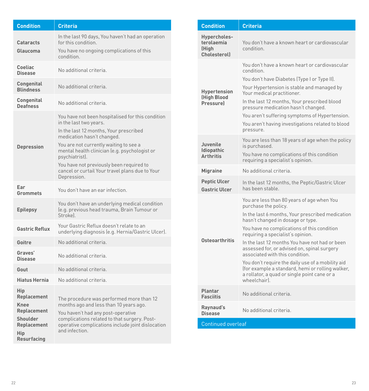| <b>Condition</b>                                                                                                       | <b>Criteria</b>                                                                                                                                                                                                                                                                                                                                                                |
|------------------------------------------------------------------------------------------------------------------------|--------------------------------------------------------------------------------------------------------------------------------------------------------------------------------------------------------------------------------------------------------------------------------------------------------------------------------------------------------------------------------|
| Cataracts<br>Glaucoma                                                                                                  | In the last 90 days, You haven't had an operation<br>for this condition.<br>You have no ongoing complications of this<br>condition.                                                                                                                                                                                                                                            |
| Coeliac<br><b>Disease</b>                                                                                              | No additional criteria.                                                                                                                                                                                                                                                                                                                                                        |
| Congenital<br><b>Blindness</b>                                                                                         | No additional criteria.                                                                                                                                                                                                                                                                                                                                                        |
| Congenital<br><b>Deafness</b>                                                                                          | No additional criteria.                                                                                                                                                                                                                                                                                                                                                        |
| <b>Depression</b>                                                                                                      | You have not been hospitalised for this condition<br>in the last two years.<br>In the last 12 months, Your prescribed<br>medication hasn't changed.<br>You are not currently waiting to see a<br>mental health clinician (e.g. psychologist or<br>psychiatrist).<br>You have not previously been required to<br>cancel or curtail Your travel plans due to Your<br>Depression. |
| Ear<br>Grommets                                                                                                        | You don't have an ear infection.                                                                                                                                                                                                                                                                                                                                               |
| <b>Epilepsy</b>                                                                                                        | You don't have an underlying medical condition<br>(e.g. previous head trauma, Brain Tumour or<br>Strokel.                                                                                                                                                                                                                                                                      |
| <b>Gastric Reflux</b>                                                                                                  | Your Gastric Reflux doesn't relate to an<br>underlying diagnosis (e.g. Hernia/Gastric Ulcer).                                                                                                                                                                                                                                                                                  |
| Goitre                                                                                                                 | No additional criteria.                                                                                                                                                                                                                                                                                                                                                        |
| Graves'<br><b>Disease</b>                                                                                              | No additional criteria.                                                                                                                                                                                                                                                                                                                                                        |
| Gout                                                                                                                   | No additional criteria.                                                                                                                                                                                                                                                                                                                                                        |
| <b>Hiatus Hernia</b>                                                                                                   | No additional criteria.                                                                                                                                                                                                                                                                                                                                                        |
| Hip<br><b>Replacement</b><br><b>Knee</b><br><b>Replacement</b><br>Shoulder<br>Replacement<br>Hip<br><b>Resurfacing</b> | The procedure was performed more than 12<br>months ago and less than 10 years ago.<br>You haven't had any post-operative<br>complications related to that surgery. Post-<br>operative complications include joint dislocation<br>and infection.                                                                                                                                |

| <b>Condition</b>                                                                                                                                                                                            | <b>Criteria</b>                                                                                                                                                                                                                                                                                                                                                                                                                                                                                                                                              |  |
|-------------------------------------------------------------------------------------------------------------------------------------------------------------------------------------------------------------|--------------------------------------------------------------------------------------------------------------------------------------------------------------------------------------------------------------------------------------------------------------------------------------------------------------------------------------------------------------------------------------------------------------------------------------------------------------------------------------------------------------------------------------------------------------|--|
| Hypercholes-<br>terolaemia<br>(High<br>Cholesteroll                                                                                                                                                         | You don't have a known heart or cardiovascular<br>condition.                                                                                                                                                                                                                                                                                                                                                                                                                                                                                                 |  |
| <b>Hypertension</b><br>(High Blood<br>Pressurel                                                                                                                                                             | You don't have a known heart or cardiovascular<br>condition<br>You don't have Diabetes (Type I or Type II).<br>Your Hypertension is stable and managed by<br>Your medical practitioner.<br>In the last 12 months, Your prescribed blood<br>pressure medication hasn't changed.<br>You aren't suffering symptoms of Hypertension.<br>You aren't having investigations related to blood<br>pressure.                                                                                                                                                           |  |
| You are less than 18 years of age when the policy<br>Juvenile<br>is purchased.<br><b>Idiopathic</b><br>You have no complications of this condition<br><b>Arthritis</b><br>requiring a specialist's opinion. |                                                                                                                                                                                                                                                                                                                                                                                                                                                                                                                                                              |  |
| <b>Migraine</b>                                                                                                                                                                                             | No additional criteria.                                                                                                                                                                                                                                                                                                                                                                                                                                                                                                                                      |  |
| <b>Peptic Ulcer</b><br><b>Gastric Ulcer</b>                                                                                                                                                                 | In the last 12 months, the Peptic/Gastric Ulcer<br>has been stable.                                                                                                                                                                                                                                                                                                                                                                                                                                                                                          |  |
| <b>Osteoarthritis</b>                                                                                                                                                                                       | You are less than 80 years of age when You<br>purchase the policy.<br>In the last 6 months, Your prescribed medication<br>hasn't changed in dosage or type.<br>You have no complications of this condition<br>requiring a specialist's opinion.<br>In the last 12 months You have not had or been<br>assessed for, or advised on, spinal surgery<br>associated with this condition.<br>You don't require the daily use of a mobility aid<br>(for example a standard, hemi or rolling walker,<br>a rollator, a quad or single point cane or a<br>wheelchairl. |  |
| Plantar<br><b>Fasciitis</b>                                                                                                                                                                                 | No additional criteria.                                                                                                                                                                                                                                                                                                                                                                                                                                                                                                                                      |  |
| Raynaud's<br><b>Disease</b>                                                                                                                                                                                 | No additional criteria.                                                                                                                                                                                                                                                                                                                                                                                                                                                                                                                                      |  |
| <b>Continued overleaf</b>                                                                                                                                                                                   |                                                                                                                                                                                                                                                                                                                                                                                                                                                                                                                                                              |  |
|                                                                                                                                                                                                             |                                                                                                                                                                                                                                                                                                                                                                                                                                                                                                                                                              |  |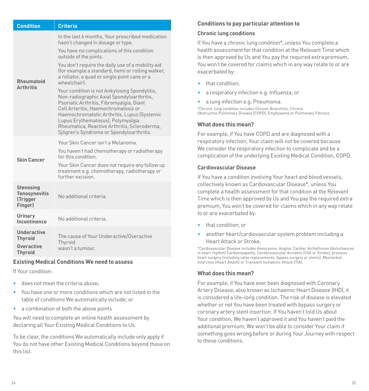| <b>Criteria</b><br><b>Condition</b>                             |                                                                                                                                                                                                                                                                                                                                                               |  |
|-----------------------------------------------------------------|---------------------------------------------------------------------------------------------------------------------------------------------------------------------------------------------------------------------------------------------------------------------------------------------------------------------------------------------------------------|--|
|                                                                 | In the last 6 months, Your prescribed medication<br>hasn't changed in dosage or type.                                                                                                                                                                                                                                                                         |  |
|                                                                 | You have no complications of this condition<br>outside of the joints.                                                                                                                                                                                                                                                                                         |  |
| Rheumatoid<br><b>Arthritis</b>                                  | You don't require the daily use of a mobility aid<br>(for example a standard, hemi or rolling walker,<br>a rollator, a quad or single point cane or a<br>wheelchairl                                                                                                                                                                                          |  |
|                                                                 | Your condition is not Ankylosing Spondylitis,<br>Non-radiographic Axial Spondyloarthritis,<br>Psoriatic Arthritis, Fibromyalgia, Giant<br>Cell Arteritis. Haemochromatosis or<br>Haemochromatotic Arthritis, Lupus (Systemic<br>Lupus Erythematosus), Polymyalgia<br>Rheumatica, Reactive Arthritis, Scleroderma,<br>Sjögren's Syndrome or Spondyloarthritis. |  |
|                                                                 | Your Skin Cancer isn't a Melanoma                                                                                                                                                                                                                                                                                                                             |  |
| <b>Skin Cancer</b>                                              | You haven't had chemotherapy or radiotherapy<br>for this condition.                                                                                                                                                                                                                                                                                           |  |
|                                                                 | Your Skin Cancer does not require any follow up<br>treatment e.g. chemotherapy, radiotherapy or<br>further excision                                                                                                                                                                                                                                           |  |
| <b>Stenosing</b><br><b>Tenosynovitis</b><br>(Trigger<br>Finger) | No additional criteria                                                                                                                                                                                                                                                                                                                                        |  |
| Urinary<br>Incontinence                                         | No additional criteria.                                                                                                                                                                                                                                                                                                                                       |  |
| Underactive<br><b>Thyroid</b><br>Overactive<br><b>Thyroid</b>   | The cause of Your Underactive/Overactive<br>Thyroid<br>wasn't a tumour.                                                                                                                                                                                                                                                                                       |  |

#### **Existing Medical Conditions We need to assess**

If Your condition:

- does not meet the criteria above;
- You have one or more conditions which are not listed in the table of conditions We automatically include; or
- a combination of both the above points

You will need to complete an online health assessment by declaring all Your Existing Medical Conditions to Us.

To be clear, the conditions We automatically include only apply if You do not have other Existing Medical Conditions beyond those on this list.

#### **Conditions to pay particular attention to**

#### **Chronic lung conditions**

If You have a chronic lung condition\*, unless You complete a health assessment for that condition at the Relevant Time which is then approved by Us and You pay the required extra premium, You won't be covered for claims which in any way relate to or are exacerbated by:

- that condition;
- a respiratory infection e.g. Influenza; or
- a lung infection e.g. Pneumonia.

\*Chronic lung condition includes Chronic Bronchitis, Chronic Obstructive Pulmonary Disease (COPD), Emphysema or Pulmonary Fibrosis.

#### **What does this mean?**

For example, if You have COPD and are diagnosed with a respiratory infection, Your claim will not be covered because We consider the respiratory infection to complicate and be a complication of the underlying Existing Medical Condition, COPD.

#### **Cardiovascular Disease**

If You have a condition involving Your heart and blood vessels, collectively known as Cardiovascular Disease\*, unless You complete a health assessment for that condition at the Relevant Time which is then approved by Us and You pay the required extra premium, You won't be covered for claims which in any way relate to or are exacerbated by:

- that condition; or
- another heart/cardiovascular system problem including a Heart Attack or Stroke.

\*Cardiovascular Disease includes Aneurysms, Angina, Cardiac Arrhythmias (disturbances in heart rhythm) Cardiomyopathy, Cerebrovascular Accident (CVA or Stroke), previous heart surgery (including valve replacements, bypass surgery or stents), Myocardial Infarction (Heart Attack) or Transient Ischaemic Attack (TIA).

#### **What does this mean?**

For example, if You have ever been diagnosed with Coronary Artery Disease, also known as Ischaemic Heart Disease (IHD), it is considered a life-long condition. The risk of disease is elevated whether or not You have been treated with bypass surgery or coronary artery stent insertion. If You haven't told Us about Your condition, We haven't approved it and You haven't paid the additional premium, We won't be able to consider Your claim if something goes wrong before or during Your Journey with respect to these conditions.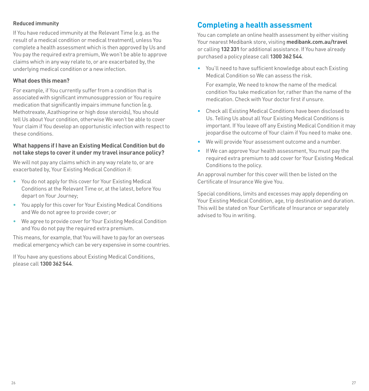#### **Reduced immunity**

If You have reduced immunity at the Relevant Time (e.g. as the result of a medical condition or medical treatment), unless You complete a health assessment which is then approved by Us and You pay the required extra premium, We won't be able to approve claims which in any way relate to, or are exacerbated by, the underlying medical condition or a new infection.

#### **What does this mean?**

For example, if You currently suffer from a condition that is associated with significant immunosuppression or You require medication that significantly impairs immune function (e.g. Methotrexate, Azathioprine or high dose steroids), You should tell Us about Your condition, otherwise We won't be able to cover Your claim if You develop an opportunistic infection with respect to these conditions.

#### **What happens if I have an Existing Medical Condition but do not take steps to cover it under my travel insurance policy?**

We will not pay any claims which in any way relate to, or are exacerbated by, Your Existing Medical Condition if:

- You do not apply for this cover for Your Existing Medical Conditions at the Relevant Time or, at the latest, before You depart on Your Journey;
- You apply for this cover for Your Existing Medical Conditions and We do not agree to provide cover; or
- We agree to provide cover for Your Existing Medical Condition and You do not pay the required extra premium.

This means, for example, that You will have to pay for an overseas medical emergency which can be very expensive in some countries.

If You have any questions about Existing Medical Conditions, please call **1300 362 544**.

## **Completing a health assessment**

You can complete an online health assessment by either visiting Your nearest Medibank store, visiting **medibank.com.au/travel** or calling **132 331** for additional assistance. If You have already purchased a policy please call **1300 362 544**.

• You'll need to have sufficient knowledge about each Existing Medical Condition so We can assess the risk.

For example, We need to know the name of the medical condition You take medication for, rather than the name of the medication. Check with Your doctor first if unsure.

- Check all Existing Medical Conditions have been disclosed to Us. Telling Us about all Your Existing Medical Conditions is important. If You leave off any Existing Medical Condition it may jeopardise the outcome of Your claim if You need to make one.
- We will provide Your assessment outcome and a number.
- If We can approve Your health assessment. You must nav the required extra premium to add cover for Your Existing Medical Conditions to the policy.

An approval number for this cover will then be listed on the Certificate of Insurance We give You.

Special conditions, limits and excesses may apply depending on Your Existing Medical Condition, age, trip destination and duration. This will be stated on Your Certificate of Insurance or separately advised to You in writing.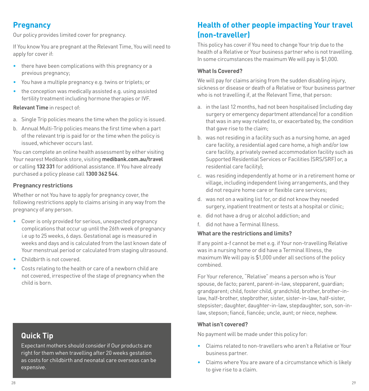## <span id="page-14-0"></span>**Pregnancy**

Our policy provides limited cover for pregnancy.

If You know You are pregnant at the Relevant Time, You will need to apply for cover if:

- there have been complications with this pregnancy or a previous pregnancy;
- You have a multiple pregnancy e.g. twins or triplets; or
- the conception was medically assisted e.g. using assisted fertility treatment including hormone therapies or IVF.

**Relevant Time** in respect of:

- a. Single Trip policies means the time when the policy is issued.
- b. Annual Multi-Trip policies means the first time when a part of the relevant trip is paid for or the time when the policy is issued, whichever occurs last.

You can complete an online health assessment by either visiting Your nearest Medibank store, visiting **medibank.com.au/travel**  or calling **132 331** for additional assistance. If You have already purchased a policy please call **1300 362 544**.

#### **Pregnancy restrictions**

Whether or not You have to apply for pregnancy cover, the following restrictions apply to claims arising in any way from the pregnancy of any person.

- Cover is only provided for serious, unexpected pregnancy complications that occur up until the 26th week of pregnancy i.e up to 25 weeks, 6 days. Gestational age is measured in weeks and days and is calculated from the last known date of Your menstrual period or calculated from staging ultrasound.
- Childbirth is not covered.
- Costs relating to the health or care of a newborn child are not covered, irrespective of the stage of pregnancy when the child is born.

## **Quick Tip**

<span id="page-14-2"></span>Expectant mothers should consider if Our products are right for them when travelling after 20 weeks gestation as costs for childbirth and neonatal care overseas can be expensive.

## <span id="page-14-1"></span>**Health of other people impacting Your travel (non-traveller)**

This policy has cover if You need to change Your trip due to the health of a Relative or Your business partner who is not travelling. In some circumstances the maximum We will pay is \$1,000.

#### **What Is Covered?**

We will pay for claims arising from the sudden disabling injury. sickness or disease or death of a Relative or Your business partner who is not travelling if, at the Relevant Time, that person:

- a. in the last 12 months, had not been hospitalised (including day surgery or emergency department attendance) for a condition that was in any way related to, or exacerbated by, the condition that gave rise to the claim:
- b. was not residing in a facility such as a nursing home, an aged care facility, a residential aged care home, a high and/or low care facility, a privately owned accommodation facility such as Supported Residential Services or Facilities (SRS/SRF) or, a residential care facility);
- c. was residing independently at home or in a retirement home or village, including independent living arrangements, and they did not require home care or flexible care services;
- d. was not on a waiting list for, or did not know they needed surgery, inpatient treatment or tests at a hospital or clinic;
- e. did not have a drug or alcohol addiction; and
- f. did not have a Terminal Illness.

#### **What are the restrictions and limits?**

If any point a-f cannot be met e.g. if Your non-travelling Relative was in a nursing home or did have a Terminal Illness, the maximum We will pay is \$1,000 under all sections of the policy combined.

For Your reference, "Relative" means a person who is Your spouse, de facto; parent, parent-in-law, stepparent, guardian; grandparent; child, foster child, grandchild; brother, brother-inlaw, half-brother, stepbrother, sister, sister-in-law, half-sister, stepsister; daughter, daughter-in-law, stepdaughter, son, son-inlaw, stepson; fiancé, fiancée; uncle, aunt; or niece, nephew.

#### **What isn't covered?**

No payment will be made under this policy for:

- Claims related to non-travellers who aren't a Relative or Your business partner.
- Claims where You are aware of a circumstance which is likely to give rise to a claim.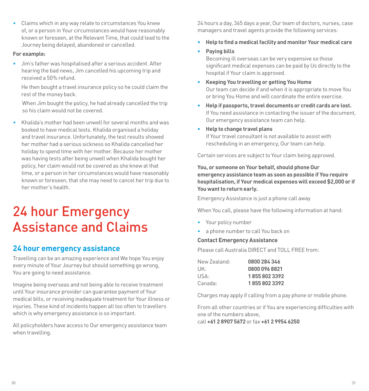• Claims which in any way relate to circumstances You knew of, or a person in Your circumstances would have reasonably known or foreseen, at the Relevant Time, that could lead to the Journey being delayed, abandoned or cancelled.

#### **For example:**

• Jim's father was hospitalised after a serious accident. After hearing the bad news, Jim cancelled his upcoming trip and received a 50% refund.

 He then bought a travel insurance policy so he could claim the rest of the money back.

 When Jim bought the policy, he had already cancelled the trip so his claim would not be covered.

• Khalida's mother had been unwell for several months and was booked to have medical tests. Khalida organised a holiday and travel insurance. Unfortunately, the test results showed her mother had a serious sickness so Khalida cancelled her holiday to spend time with her mother. Because her mother was having tests after being unwell when Khalida bought her policy, her claim would not be covered as she knew at that time, or a person in her circumstances would have reasonably known or foreseen, that she may need to cancel her trip due to her mother's health.

## <span id="page-15-0"></span>24 hour Emergency Assistance and Claims

### <span id="page-15-1"></span>**24 hour emergency assistance**

Travelling can be an amazing experience and We hope You enjoy every minute of Your Journey but should something go wrong, You are going to need assistance.

Imagine being overseas and not being able to receive treatment until Your insurance provider can guarantee payment of Your medical bills, or receiving inadequate treatment for Your illness or injuries. These kind of incidents happen all too often to travellers which is why emergency assistance is so important.

All policyholders have access to Our emergency assistance team when travelling.

24 hours a day, 365 days a year, Our team of doctors, nurses, case managers and travel agents provide the following services:

- **Help to find a medical facility and monitor Your medical care**
- **• Paying bills**

Becoming ill overseas can be very expensive so those significant medical expenses can be paid by Us directly to the hospital if Your claim is approved.

- **• Keeping You travelling or getting You Home** Our team can decide if and when it is appropriate to move You or bring You Home and will coordinate the entire exercise.
- **• Help if passports, travel documents or credit cards are lost.** If You need assistance in contacting the issuer of the document, Our emergency assistance team can help.
- **• Help to change travel plans**

If Your travel consultant is not available to assist with rescheduling in an emergency, Our team can help.

Certain services are subject to Your claim being approved.

**You, or someone on Your behalf, should phone Our emergency assistance team as soon as possible if You require hospitalisation, if Your medical expenses will exceed \$2,000 or if You want to return early.**

Emergency Assistance is just a phone call away

When You call, please have the following information at hand:

- Your policy number
- a phone number to call You back on

#### **Contact Emergency Assistance**

Please call Australia DIRECT and TOLL FREE from:

| New Zealand: | 0800 284 346  |
|--------------|---------------|
| UK:          | 0800 096 8821 |
| USA:         | 18558023392   |
| Canada:      | 18558023392   |

Charges may apply if calling from a pay phone or mobile phone.

From all other countries or if You are experiencing difficulties with one of the numbers above,

call **+61 2 8907 5672** or fax **+61 2 9954 6250**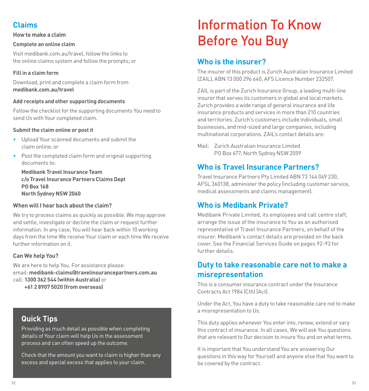## <span id="page-16-0"></span>**Claims**

#### **How to make a claim**

#### **Complete an online claim**

Visit medibank.com.au/travel, follow the links to the online claims system and follow the prompts; or

#### **Fill in a claim form**

Download, print and complete a claim form from **medibank.com.au/travel**

#### **Add receipts and other supporting documents**

Follow the checklist for the supporting documents You need to send Us with Your completed claim.

#### **Submit the claim online or post it**

- Upload Your scanned documents and submit the claim online; or
- Post the completed claim form and original supporting documents to:

**Medibank Travel Insurance Team c/o Travel Insurance Partners Claims Dept PO Box 168 North Sydney NSW 2060**

#### **When will I hear back about the claim?**

We try to process claims as quickly as possible. We may approve and settle, investigate or decline the claim or request further information. In any case, You will hear back within 10 working days from the time We receive Your claim or each time We receive further information on it.

#### **Can We help You?**

We are here to help You. For assistance please: email: **medibank-claims@travelinsurancepartners.com.au** call: **1300 362 544 (within Australia)** or

**+61 2 8907 5020 (from overseas)**

## **Quick Tips**

Providing as much detail as possible when completing details of Your claim will help Us in the assessment process and can often speed up the outcome.

Check that the amount you want to claim is higher than any excess and special excess that applies to your claim.

## <span id="page-16-1"></span>Information To Know Before You Buy

## <span id="page-16-2"></span>**Who is the insurer?**

The insurer of this product is Zurich Australian Insurance Limited (ZAIL), ABN 13 000 296 640, AFS Licence Number 232507.

ZAIL is part of the Zurich Insurance Group, a leading multi-line insurer that serves its customers in global and local markets. Zurich provides a wide range of general insurance and life insurance products and services in more than 210 countries and territories. Zurich's customers include individuals, small businesses, and mid-sized and large companies, including multinational corporations. ZAIL's contact details are:

Mail: Zurich Australian Insurance Limited PO Box 677, North Sydney NSW 2059

## <span id="page-16-3"></span>**Who is Travel Insurance Partners?**

Travel Insurance Partners Pty Limited ABN 73 144 049 230, AFSL 360138, administer the policy (including customer service, medical assessments and claims management).

## <span id="page-16-4"></span>**Who is Medibank Private?**

Medibank Private Limited, its employees and call centre staff, arrange the issue of the insurance to You as an authorised representative of Travel Insurance Partners, on behalf of the insurer. Medibank's contact details are provided on the back cover. See the Financial Services Guide on pages [92-](#page-46-0)[93](#page-46-1) for further details.

## <span id="page-16-5"></span>**Duty to take reasonable care not to make a misrepresentation**

This is a consumer insurance contract under the Insurance Contracts Act 1984 (Cth) (Act).

Under the Act, You have a duty to take reasonable care not to make a misrepresentation to Us.

This duty applies whenever You enter into, renew, extend or vary this contract of insurance. In all cases, We will ask You questions that are relevant to Our decision to insure You and on what terms.

It is important that You understand You are answering Our questions in this way for Yourself and anyone else that You want to be covered by the contract.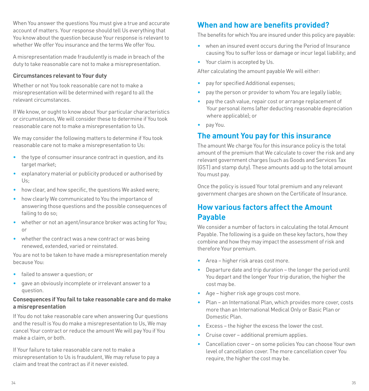When You answer the questions You must give a true and accurate account of matters. Your response should tell Us everything that You know about the question because Your response is relevant to whether We offer You insurance and the terms We offer You.

A misrepresentation made fraudulently is made in breach of the duty to take reasonable care not to make a misrepresentation.

#### **Circumstances relevant to Your duty**

Whether or not You took reasonable care not to make a misrepresentation will be determined with regard to all the relevant circumstances.

If We know, or ought to know about Your particular characteristics or circumstances, We will consider these to determine if You took reasonable care not to make a misrepresentation to Us.

We may consider the following matters to determine if You took reasonable care not to make a misrepresentation to Us:

- the type of consumer insurance contract in question, and its target market:
- explanatory material or publicity produced or authorised by Us;
- how clear, and how specific, the questions We asked were:
- how clearly We communicated to You the importance of answering those questions and the possible consequences of failing to do so;
- whether or not an agent/insurance broker was acting for You; or
- whether the contract was a new contract or was being renewed, extended, varied or reinstated.

You are not to be taken to have made a misrepresentation merely because You:

- failed to answer a question; or
- gave an obviously incomplete or irrelevant answer to a question.

#### **Consequences if You fail to take reasonable care and do make a misrepresentation**

If You do not take reasonable care when answering Our questions and the result is You do make a misrepresentation to Us, We may cancel Your contract or reduce the amount We will pay You if You make a claim, or both.

<span id="page-17-3"></span>If Your failure to take reasonable care not to make a misrepresentation to Us is fraudulent, We may refuse to pay a claim and treat the contract as if it never existed.

## <span id="page-17-0"></span>**When and how are benefits provided?**

The benefits for which You are insured under this policy are payable:

- when an insured event occurs during the Period of Insurance causing You to suffer loss or damage or incur legal liability; and
- Your claim is accepted by Us.

After calculating the amount payable We will either:

- pay for specified Additional expenses;
- pay the person or provider to whom You are legally liable;
- pay the cash value, repair cost or arrange replacement of Your personal items (after deducting reasonable depreciation where applicable); or
- pay You.

## <span id="page-17-1"></span>**The amount You pay for this insurance**

The amount We charge You for this insurance policy is the total amount of the premium that We calculate to cover the risk and any relevant government charges (such as Goods and Services Tax (GST) and stamp duty). These amounts add up to the total amount You must pay.

Once the policy is issued Your total premium and any relevant government charges are shown on the Certificate of Insurance.

## <span id="page-17-2"></span>**How various factors affect the Amount Payable**

We consider a number of factors in calculating the total Amount Payable. The following is a guide on these key factors, how they combine and how they may impact the assessment of risk and therefore Your premium.

- Area higher risk areas cost more.
- Departure date and trip duration the longer the period until You depart and the longer Your trip duration, the higher the cost may be.
- Age higher risk age groups cost more.
- Plan an International Plan, which provides more cover, costs more than an International Medical Only or Basic Plan or Domestic Plan.
- Excess the higher the excess the lower the cost.
- Cruise cover additional premium applies.
- Cancellation cover on some policies You can choose Your own level of cancellation cover. The more cancellation cover You require, the higher the cost may be.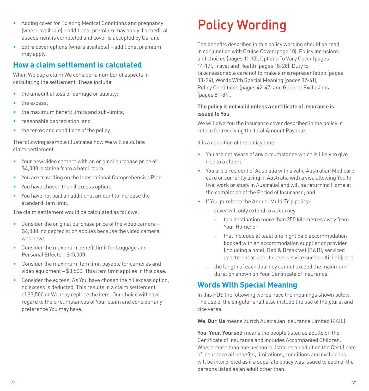- Adding cover for Existing Medical Conditions and pregnancy (where available) – additional premium may apply if a medical assessment is completed and cover is accepted by Us; and
- Extra cover options (where available) additional premium may apply.

## <span id="page-18-0"></span>**How a claim settlement is calculated**

When We pay a claim We consider a number of aspects in calculating the settlement. These include:

- the amount of loss or damage or liability;
- the excess:
- the maximum benefit limits and sub-limits;
- reasonable depreciation; and
- the terms and conditions of the policy.

The following example illustrates how We will calculate claim settlement.

- Your new video camera with an original purchase price of \$4,000 is stolen from a hotel room.
- You are travelling on the International Comprehensive Plan.
- You have chosen the nil excess option.
- You have not paid an additional amount to increase the standard item limit.

The claim settlement would be calculated as follows:

- Consider the original purchase price of the video camera \$4,000 (no depreciation applies because the video camera was new).
- Consider the maximum benefit limit for Luggage and Personal Effects – \$15,000.
- Consider the maximum item limit payable for cameras and video equipment – \$3,500. This item limit applies in this case.
- Consider the excess. As You have chosen the nil excess option, no excess is deducted. This results in a claim settlement of \$3,500 or We may replace the item. Our choice will have regard to the circumstances of Your claim and consider any preference You may have.

## <span id="page-18-1"></span>Policy Wording

The benefits described in this policy wording should be read in conjunction with Cruise Cover (page [10\)](#page-5-0), Policy inclusions and choices (pages [11](#page-5-1)[-13\)](#page-6-0), Options To Vary Cover (pages [14](#page-7-0)[-17\)](#page-8-0), Travel and Health (pages [18](#page-9-0)[-28\)](#page-14-2), Duty to take reasonable care not to make a misrepresentation (pages [33](#page-16-5)[-34\)](#page-17-3), Words With Special Meaning (pages [37](#page-18-2)-[41](#page-20-0)), Policy Conditions (pages [42](#page-21-0)-[47](#page-23-1)) and General Exclusions (pages [81-](#page-40-0)[84](#page-42-5)).

#### **The policy is not valid unless a certificate of insurance is issued to You**

We will give You the insurance cover described in the policy in return for receiving the total Amount Payable.

It is a condition of the policy that:

- You are not aware of any circumstance which is likely to give rise to a claim;
- You are a resident of Australia with a valid Australian Medicare card or currently living in Australia with a visa allowing You to live, work or study in Australia) and will be returning Home at the completion of the Period of Insurance; and
- If You purchase the Annual Multi-Trip policy:
	- cover will only extend to a Journey
		- to a destination more than 250 kilometres away from Your Home; or
		- that includes at least one night paid accommodation booked with an accommodation supplier or provider (including a hotel, Bed & Breakfast (B&B), serviced apartment or peer to peer service such as Airbnb); and
	- the length of each Journey cannot exceed the maximum duration shown on Your Certificate of Insurance.

## <span id="page-18-2"></span>**Words With Special Meaning**

In this PDS the following words have the meanings shown below. The use of the singular shall also include the use of the plural and vice versa.

**We**, **Our**, **Us** means Zurich Australian Insurance Limited (ZAIL).

**You**, **Your**, **Yourself** means the people listed as adults on the Certificate of Insurance and includes Accompanied Children. Where more than one person is listed as an adult on the Certificate of Insurance all benefits, limitations, conditions and exclusions will be interpreted as if a separate policy was issued to each of the persons listed as an adult other than: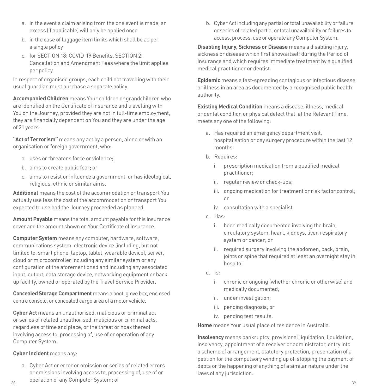- a. in the event a claim arising from the one event is made, an excess (if applicable) will only be applied once
- b. in the case of luggage item limits which shall be as per a single policy
- c. for SECTION 18: COVID-19 Benefits, SECTION 2: Cancellation and Amendment Fees where the limit applies per policy.

In respect of organised groups, each child not travelling with their usual guardian must purchase a separate policy.

**Accompanied Children** means Your children or grandchildren who are identified on the Certificate of Insurance and travelling with You on the Journey, provided they are not in full-time employment, they are financially dependent on You and they are under the age of 21 years.

**"Act of Terrorism"** means any act by a person, alone or with an organisation or foreign government, who:

- a. uses or threatens force or violence;
- b. aims to create public fear; or
- c. aims to resist or influence a government, or has ideological, religious, ethnic or similar aims.

**Additional** means the cost of the accommodation or transport You actually use less the cost of the accommodation or transport You expected to use had the Journey proceeded as planned.

**Amount Payable** means the total amount payable for this insurance cover and the amount shown on Your Certificate of Insurance.

**Computer System** means any computer, hardware, software, communications system, electronic device (including, but not limited to, smart phone, laptop, tablet, wearable device), server, cloud or microcontroller including any similar system or any configuration of the aforementioned and including any associated input, output, data storage device, networking equipment or back up facility, owned or operated by the Travel Service Provider.

**Concealed Storage Compartment** means a boot, glove box, enclosed centre console, or concealed cargo area of a motor vehicle.

**Cyber Act** means an unauthorised, malicious or criminal act or series of related unauthorised, malicious or criminal acts, regardless of time and place, or the threat or hoax thereof involving access to, processing of, use of or operation of any Computer System.

#### **Cyber Incident** means any:

 $38$   $39$ a. Cyber Act or error or omission or series of related errors or omissions involving access to, processing of, use of or operation of any Computer System; or

b. Cyber Act including any partial or total unavailability or failure or series of related partial or total unavailability or failures to access, process, use or operate any Computer System.

**Disabling Injury, Sickness or Disease** means a disabling injury, sickness or disease which first shows itself during the Period of Insurance and which requires immediate treatment by a qualified medical practitioner or dentist.

**Epidemic** means a fast-spreading contagious or infectious disease or illness in an area as documented by a recognised public health authority.

**Existing Medical Condition** means a disease, illness, medical or dental condition or physical defect that, at the Relevant Time, meets any one of the following:

- a. Has required an emergency department visit, hospitalisation or day surgery procedure within the last 12 months.
- b. Requires:
	- i. prescription medication from a qualified medical practitioner;
	- ii. regular review or check-ups;
	- iii. ongoing medication for treatment or risk factor control; or
	- iv. consultation with a specialist.
- c. Has:
	- i. been medically documented involving the brain, circulatory system, heart, kidneys, liver, respiratory system or cancer; or
	- ii. required surgery involving the abdomen, back, brain, joints or spine that required at least an overnight stay in hospital.
- d. Is:
	- i. chronic or ongoing (whether chronic or otherwise) and medically documented;
	- ii. under investigation;
	- iii. pending diagnosis; or
	- iv. pending test results.

**Home** means Your usual place of residence in Australia.

**Insolvency** means bankruptcy, provisional liquidation, liquidation, insolvency, appointment of a receiver or administrator, entry into a scheme of arrangement, statutory protection, presentation of a petition for the compulsory winding up of, stopping the payment of debts or the happening of anything of a similar nature under the laws of any jurisdiction.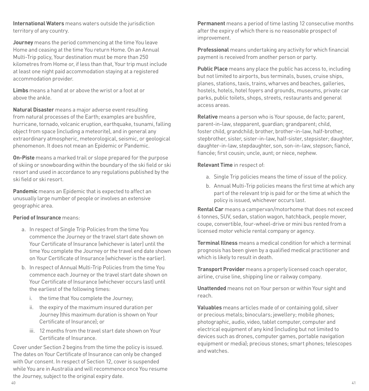**International Waters** means waters outside the jurisdiction territory of any country.

**Journey** means the period commencing at the time You leave Home and ceasing at the time You return Home. On an Annual Multi-Trip policy, Your destination must be more than 250 kilometres from Home or, if less than that, Your trip must include at least one night paid accommodation staying at a registered accommodation provider.

**Limbs** means a hand at or above the wrist or a foot at or above the ankle.

**Natural Disaster** means a major adverse event resulting from natural processes of the Earth; examples are bushfire, hurricane, tornado, volcanic eruption, earthquake, tsunami, falling object from space (including a meteorite), and in general any extraordinary atmospheric, meteorological, seismic, or geological phenomenon. It does not mean an Epidemic or Pandemic.

**On-Piste** means a marked trail or slope prepared for the purpose of skiing or snowboarding within the boundary of the ski field or ski resort and used in accordance to any regulations published by the ski field or ski resort.

**Pandemic** means an Epidemic that is expected to affect an unusually large number of people or involves an extensive geographic area.

#### **Period of Insurance** means:

- a. In respect of Single Trip Policies from the time You commence the Journey or the travel start date shown on Your Certificate of Insurance (whichever is later) until the time You complete the Journey or the travel end date shown on Your Certificate of Insurance (whichever is the earlier).
- b. In respect of Annual Multi-Trip Policies from the time You commence each Journey or the travel start date shown on Your Certificate of Insurance (whichever occurs last) until the earliest of the following times:
	- i. the time that You complete the Journey;
	- ii. the expiry of the maximum insured duration per Journey (this maximum duration is shown on Your Certificate of Insurance); or
	- iii. 12 months from the travel start date shown on Your Certificate of Insurance.

Cover under Section 2 begins from the time the policy is issued. The dates on Your Certificate of Insurance can only be changed with Our consent. In respect of Section 12, cover is suspended while You are in Australia and will recommence once You resume the Journey, subject to the original expiry date.

**Permanent** means a period of time lasting 12 consecutive months after the expiry of which there is no reasonable prospect of improvement.

**Professional** means undertaking any activity for which financial payment is received from another person or party.

**Public Place** means any place the public has access to, including but not limited to airports, bus terminals, buses, cruise ships, planes, stations, taxis, trains, wharves and beaches, galleries, hostels, hotels, hotel foyers and grounds, museums, private car parks, public toilets, shops, streets, restaurants and general access areas.

**Relative** means a person who is Your spouse, de facto; parent, parent-in-law, stepparent, guardian; grandparent; child, foster child, grandchild; brother, brother-in-law, half-brother, stepbrother, sister, sister-in-law, half-sister, stepsister; daughter, daughter-in-law, stepdaughter, son, son-in-law, stepson; fiancé, fiancée; first cousin; uncle, aunt; or niece, nephew.

#### **Relevant Time** in respect of:

- a. Single Trip policies means the time of issue of the policy.
- b. Annual Multi-Trip policies means the first time at which any part of the relevant trip is paid for or the time at which the policy is issued, whichever occurs last.

**Rental Car** means a campervan/motorhome that does not exceed 6 tonnes, SUV, sedan, station wagon, hatchback, people mover, coupe, convertible, four-wheel-drive or mini bus rented from a licensed motor vehicle rental company or agency.

**Terminal Illness** means a medical condition for which a terminal prognosis has been given by a qualified medical practitioner and which is likely to result in death.

**Transport Provider** means a properly licensed coach operator, airline, cruise line, shipping line or railway company.

**Unattended** means not on Your person or within Your sight and reach.

<span id="page-20-0"></span>**Valuables** means articles made of or containing gold, silver or precious metals; binoculars; jewellery; mobile phones; photographic, audio, video, tablet computer, computer and electrical equipment of any kind (including but not limited to devices such as drones, computer games, portable navigation equipment or media); precious stones; smart phones; telescopes and watches.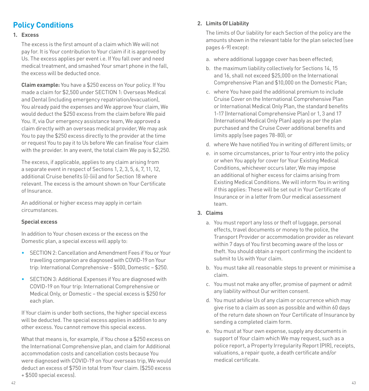## <span id="page-21-0"></span>**Policy Conditions**

#### <span id="page-21-1"></span>**1. Excess**

The excess is the first amount of a claim which We will not pay for. It is Your contribution to Your claim if it is approved by Us. The excess applies per event i.e. If You fall over and need medical treatment, and smashed Your smart phone in the fall, the excess will be deducted once.

**Claim example:** You have a \$250 excess on Your policy. If You made a claim for \$2,500 under SECTION 1: Overseas Medical and Dental (including emergency repatriation/evacuation), You already paid the expenses and We approve Your claim, We would deduct the \$250 excess from the claim before We paid You. If, via Our emergency assistance team, We approved a claim directly with an overseas medical provider, We may ask You to pay the \$250 excess directly to the provider at the time or request You to pay it to Us before We can finalise Your claim with the provider. In any event, the total claim We pay is \$2,250.

The excess, if applicable, applies to any claim arising from a separate event in respect of Sections 1, 2, 3, 5, 6, 7, 11, 12, additional Cruise benefits (i)-(iii) and for Section 18 where relevant. The excess is the amount shown on Your Certificate of Insurance.

An additional or higher excess may apply in certain circumstances.

#### **Special excess**

In addition to Your chosen excess or the excess on the Domestic plan, a special excess will apply to:

- SECTION 2: Cancellation and Amendment Fees if You or Your travelling companion are diagnosed with COVID-19 on Your trip: International Comprehensive – \$500, Domestic – \$250.
- SECTION 3: Additional Expenses if You are diagnosed with COVID-19 on Your trip: International Comprehensive or Medical Only, or Domestic – the special excess is \$250 for each plan.

If Your claim is under both sections, the higher special excess will be deducted. The special excess applies in addition to any other excess. You cannot remove this special excess.

What that means is, for example, if You chose a \$250 excess on the International Comprehensive plan, and claim for Additional accommodation costs and cancellation costs because You were diagnosed with COVID-19 on Your overseas trip, We would deduct an excess of \$750 in total from Your claim. (\$250 excess + \$500 special excess).

#### **2. Limits Of Liability**

The limits of Our liability for each Section of the policy are the amounts shown in the relevant table for the plan selected (see pages [6](#page-3-0)-9) except:

- a. where additional luggage cover has been effected;
- b. the maximum liability collectively for Sections 14, 15 and 16, shall not exceed \$25,000 on the International Comprehensive Plan and \$10,000 on the Domestic Plan;
- c. where You have paid the additional premium to include Cruise Cover on the International Comprehensive Plan or International Medical Only Plan, the standard benefits 1-17 (International Comprehensive Plan) or 1, 3 and 17 (International Medical Only Plan) apply as per the plan purchased and the Cruise Cover additional benefits and limits apply (see pages [78](#page-39-0)[-80\)](#page-40-2); or
- d. where We have notified You in writing of different limits; or
- e. in some circumstances, prior to Your entry into the policy or when You apply for cover for Your Existing Medical Conditions, whichever occurs later, We may impose an additional of higher excess for claims arising from Existing Medical Conditions. We will inform You in writing if this applies: These will be set out in Your Certificate of Insurance or in a letter from Our medical assessment team.

#### **3. Claims**

- a. You must report any loss or theft of luggage, personal effects, travel documents or money to the police, the Transport Provider or accommodation provider as relevant within 7 days of You first becoming aware of the loss or theft. You should obtain a report confirming the incident to submit to Us with Your claim.
- b. You must take all reasonable steps to prevent or minimise a claim.
- c. You must not make any offer, promise of payment or admit any liability without Our written consent.
- d. You must advise Us of any claim or occurrence which may give rise to a claim as soon as possible and within 60 days of the return date shown on Your Certificate of Insurance by sending a completed claim form.
- e. You must at Your own expense, supply any documents in support of Your claim which We may request, such as a police report, a Property Irregularity Report (PIR), receipts, valuations, a repair quote, a death certificate and/or medical certificate.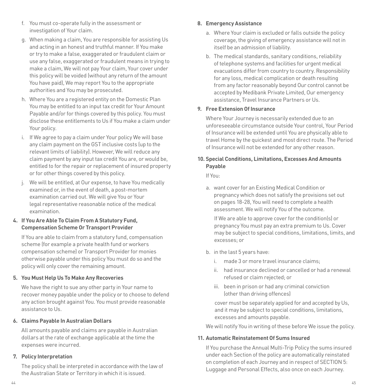- f. You must co-operate fully in the assessment or investigation of Your claim.
- g. When making a claim, You are responsible for assisting Us and acting in an honest and truthful manner. If You make or try to make a false, exaggerated or fraudulent claim or use any false, exaggerated or fraudulent means in trying to make a claim, We will not pay Your claim, Your cover under this policy will be voided (without any return of the amount You have paid), We may report You to the appropriate authorities and You may be prosecuted.
- h. Where You are a registered entity on the Domestic Plan You may be entitled to an input tax credit for Your Amount Payable and/or for things covered by this policy. You must disclose these entitlements to Us if You make a claim under Your policy.
- i. If We agree to pay a claim under Your policy We will base any claim payment on the GST inclusive costs (up to the relevant limits of liability). However, We will reduce any claim payment by any input tax credit You are, or would be, entitled to for the repair or replacement of insured property or for other things covered by this policy.
- j. We will be entitled, at Our expense, to have You medically examined or, in the event of death, a post-mortem examination carried out. We will give You or Your legal representative reasonable notice of the medical examination.

#### **4. If You Are Able To Claim From A Statutory Fund, Compensation Scheme Or Transport Provider**

If You are able to claim from a statutory fund, compensation scheme (for example a private health fund or workers compensation scheme) or Transport Provider for monies otherwise payable under this policy You must do so and the policy will only cover the remaining amount.

#### **5. You Must Help Us To Make Any Recoveries**

We have the right to sue any other party in Your name to recover money payable under the policy or to choose to defend any action brought against You. You must provide reasonable assistance to Us.

#### **6. Claims Payable In Australian Dollars**

All amounts payable and claims are payable in Australian dollars at the rate of exchange applicable at the time the expenses were incurred.

#### **7. Policy Interpretation**

The policy shall be interpreted in accordance with the law of the Australian State or Territory in which it is issued.

#### **8. Emergency Assistance**

- a. Where Your claim is excluded or falls outside the policy coverage, the giving of emergency assistance will not in itself be an admission of liability.
- b. The medical standards, sanitary conditions, reliability of telephone systems and facilities for urgent medical evacuations differ from country to country. Responsibility for any loss, medical complication or death resulting from any factor reasonably beyond Our control cannot be accepted by Medibank Private Limited, Our emergency assistance, Travel Insurance Partners or Us.

#### <span id="page-22-0"></span>**9. Free Extension Of Insurance**

Where Your Journey is necessarily extended due to an unforeseeable circumstance outside Your control, Your Period of Insurance will be extended until You are physically able to travel Home by the quickest and most direct route. The Period of Insurance will not be extended for any other reason.

#### **10. Special Conditions, Limitations, Excesses And Amounts Payable**

If You:

a. want cover for an Existing Medical Condition or pregnancy which does not satisfy the provisions set out on pages [18](#page-9-0)-[28](#page-14-2), You will need to complete a health assessment. We will notify You of the outcome.

 If We are able to approve cover for the condition(s) or pregnancy You must pay an extra premium to Us. Cover may be subject to special conditions, limitations, limits, and excesses; or

- b. in the last 5 years have:
	- i. made 3 or more travel insurance claims;
	- ii. had insurance declined or cancelled or had a renewal refused or claim rejected; or
	- iii. been in prison or had any criminal conviction (other than driving offences)

 cover must be separately applied for and accepted by Us, and it may be subject to special conditions, limitations, excesses and amounts payable.

We will notify You in writing of these before We issue the policy.

#### **11. Automatic Reinstatement Of Sums Insured**

If You purchase the Annual Multi-Trip Policy the sums insured under each Section of the policy are automatically reinstated on completion of each Journey and in respect of [SECTION 5:](#page-27-0)  [Luggage and Personal Effects](#page-27-0), also once on each Journey.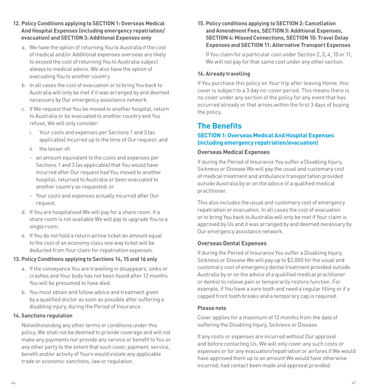- **12. Policy Conditions applying to [SECTION 1: Overseas Medical](#page-23-2)  [And Hospital Expenses \(including emergency repatriation/](#page-23-2) [evacuation\)](#page-23-2) and [SECTION 3: Additional Expenses](#page-25-0) only**
	- a. We have the option of returning You to Australia if the cost of medical and/or Additional expenses overseas are likely to exceed the cost of returning You to Australia subject always to medical advice. We also have the option of evacuating You to another country.
	- b. In all cases the cost of evacuation or to bring You back to Australia will only be met if it was arranged by and deemed necessary by Our emergency assistance network.
	- c. If We request that You be moved to another hospital, return to Australia or be evacuated to another country and You refuse, We will only consider:
		- i. Your costs and expenses per Sections 1 and 3 (as applicable) incurred up to the time of Our request; and
		- ii. the lesser of:
		- an amount equivalent to the costs and expenses per Sections 1 and 3 (as applicable) that You would have incurred after Our request had You moved to another hospital, returned to Australia or been evacuated to another country as requested; or
		- Your costs and expenses actually incurred after Our request.
	- d. If You are hospitalised We will pay for a share room. If a share room is not available We will pay to upgrade You to a single room.
	- e. If You do not hold a return airline ticket an amount equal to the cost of an economy class one way ticket will be deducted from Your claim for repatriation expenses.

#### **13. Policy Conditions applying to Sections 14, 15 and 16 only**

- a. If the conveyance You are travelling in disappears, sinks or crashes and Your body has not been found after 12 months You will be presumed to have died.
- b. You must obtain and follow advice and treatment given by a qualified doctor as soon as possible after suffering a disabling injury, during the Period of Insurance.

#### **14. Sanctions regulation**

Notwithstanding any other terms or conditions under this policy, We shall not be deemed to provide coverage and will not make any payments nor provide any service or benefit to You or any other party to the extent that such cover, payment, service, benefit and/or activity of Yours would violate any applicable trade or economic sanctions, law or regulation.

<span id="page-23-3"></span>**15. Policy conditions applying to [SECTION 2: Cancellation](#page-24-0)  [and Amendment Fees,](#page-24-0) [SECTION 3: Additional Expenses,](#page-25-0) SECTION [4: Missed Connections,](#page-27-1) [SECTION 10: Travel Delay](#page-32-0)  [Expenses](#page-32-0) and [SECTION 11: Alternative Transport Expenses](#page-32-1)**

If You claim for a particular cost under Section 2, 3, 4, 10 or 11, We will not pay for that same cost under any other section.

#### <span id="page-23-1"></span>**16. Already travelling**

If You purchase this policy on Your trip after leaving Home, this cover is subject to a 3 day no-cover period. This means there is no cover under any section of the policy for any event that has occurred already or that arises within the first 3 days of buying the policy.

## <span id="page-23-0"></span>**The Benefits**

#### <span id="page-23-2"></span>**SECTION 1: Overseas Medical And Hospital Expenses (including emergency repatriation/evacuation)**

#### **Overseas Medical Expenses**

If during the Period of Insurance You suffer a Disabling Injury, Sickness or Disease We will pay the usual and customary cost of medical treatment and ambulance transportation provided outside Australia by or on the advice of a qualified medical practitioner.

This also includes the usual and customary cost of emergency repatriation or evacuation. In all cases the cost of evacuation or to bring You back to Australia will only be met if Your claim is approved by Us and it was arranged by and deemed necessary by Our emergency assistance network.

#### **Overseas Dental Expenses**

If during the Period of Insurance You suffer a Disabling Injury, Sickness or Disease We will pay up to \$2,000 for the usual and customary cost of emergency dental treatment provided outside Australia by or on the advice of a qualified medical practitioner or dentist to relieve pain or temporarily restore function. For example, if You have a sore tooth and need a regular filling or if a capped front tooth breaks and a temporary cap is required.

#### **Please note**

Cover applies for a maximum of 12 months from the date of suffering the Disabling Injury, Sickness or Disease.

If any costs or expenses are incurred without Our approval and before contacting Us, We will only cover any such costs or expenses or for any evacuation/repatriation or airfares if We would have approved them up to an amount We would have otherwise incurred, had contact been made and approval provided.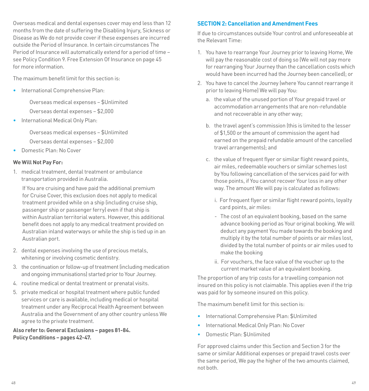Overseas medical and dental expenses cover may end less than 12 months from the date of suffering the Disabling Injury, Sickness or Disease as We do not provide cover if these expenses are incurred outside the Period of Insurance. In certain circumstances The Period of Insurance will automatically extend for a period of time – see Policy Condition [9. Free Extension Of Insurance on page 45](#page-22-0)  for more information.

The maximum benefit limit for this section is:

• International Comprehensive Plan:

Overseas medical expenses – \$Unlimited Overseas dental expenses – \$2,000

• International Medical Only Plan:

Overseas medical expenses – \$Unlimited Overseas dental expenses – \$2,000

• Domestic Plan: No Cover

#### **We Will Not Pay For:**

1. medical treatment, dental treatment or ambulance transportation provided in Australia.

 If You are cruising and have paid the additional premium for Cruise Cover, this exclusion does not apply to medical treatment provided while on a ship (including cruise ship, passenger ship or passenger ferry) even if that ship is within Australian territorial waters. However, this additional benefit does not apply to any medical treatment provided on Australian inland waterways or while the ship is tied up in an Australian port.

- 2. dental expenses involving the use of precious metals, whitening or involving cosmetic dentistry.
- 3. the continuation or follow-up of treatment (including medication and ongoing immunisations) started prior to Your Journey.
- 4. routine medical or dental treatment or prenatal visits.
- 5. private medical or hospital treatment where public funded services or care is available, including medical or hospital treatment under any Reciprocal Health Agreement between Australia and the Government of any other country unless We agree to the private treatment.

**Also refer to: General Exclusions – pages [81](#page-40-0)-[84](#page-42-5). Policy Conditions – pages [42](#page-21-0)[-47.](#page-23-3)**

#### <span id="page-24-0"></span>**SECTION 2: Cancellation and Amendment Fees**

If due to circumstances outside Your control and unforeseeable at the Relevant Time:

- 1. You have to rearrange Your Journey prior to leaving Home, We will pay the reasonable cost of doing so (We will not pay more for rearranging Your Journey than the cancellation costs which would have been incurred had the Journey been cancelled); or
- 2. You have to cancel the Journey (where You cannot rearrange it prior to leaving Home) We will pay You:
	- a. the value of the unused portion of Your prepaid travel or accommodation arrangements that are non-refundable and not recoverable in any other way;
	- b. the travel agent's commission (this is limited to the lesser of \$1,500 or the amount of commission the agent had earned on the prepaid refundable amount of the cancelled travel arrangements); and
	- c. the value of frequent flyer or similar flight reward points, air miles, redeemable vouchers or similar schemes lost by You following cancellation of the services paid for with those points, if You cannot recover Your loss in any other way. The amount We will pay is calculated as follows:
		- i. For frequent flyer or similar flight reward points, loyalty card points, air miles:
		- The cost of an equivalent booking, based on the same advance booking period as Your original booking. We will deduct any payment You made towards the booking and multiply it by the total number of points or air miles lost, divided by the total number of points or air miles used to make the booking
		- ii. For vouchers, the face value of the voucher up to the current market value of an equivalent booking.

The proportion of any trip costs for a travelling companion not insured on this policy is not claimable. This applies even if the trip was paid for by someone insured on this policy.

The maximum benefit limit for this section is:

- International Comprehensive Plan: \$Unlimited
- International Medical Only Plan: No Cover
- Domestic Plan: \$Unlimited

For approved claims under this Section and Section 3 for the same or similar Additional expenses or prepaid travel costs over the same period, We pay the higher of the two amounts claimed, not both.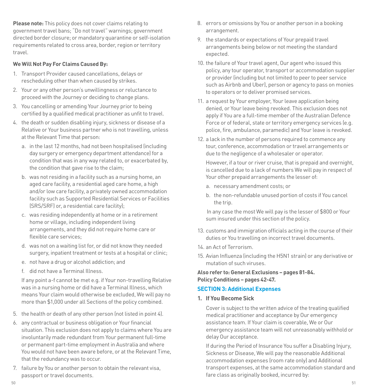**Please note:** This policy does not cover claims relating to government travel bans; "Do not travel" warnings; government directed border closure; or mandatory quarantine or self-isolation requirements related to cross area, border, region or territory travel.

#### **We Will Not Pay For Claims Caused By:**

- 1. Transport Provider caused cancellations, delays or rescheduling other than when caused by strikes.
- 2. Your or any other person's unwillingness or reluctance to proceed with the Journey or deciding to change plans.
- 3. You cancelling or amending Your Journey prior to being certified by a qualified medical practitioner as unfit to travel.
- <span id="page-25-1"></span>4. the death or sudden disabling injury, sickness or disease of a Relative or Your business partner who is not travelling, unless at the Relevant Time that person:
	- a. in the last 12 months, had not been hospitalised (including day surgery or emergency department attendance) for a condition that was in any way related to, or exacerbated by, the condition that gave rise to the claim;
	- b. was not residing in a facility such as a nursing home, an aged care facility, a residential aged care home, a high and/or low care facility, a privately owned accommodation facility such as Supported Residential Services or Facilities (SRS/SRF) or, a residential care facility);
	- c. was residing independently at home or in a retirement home or village, including independent living arrangements, and they did not require home care or flexible care services:
	- d. was not on a waiting list for, or did not know they needed surgery, inpatient treatment or tests at a hospital or clinic;
	- e. not have a drug or alcohol addiction; and
	- f. did not have a Terminal Illness.

If any point a-f cannot be met e.g. if Your non-travelling Relative was in a nursing home or did have a Terminal Illness, which means Your claim would otherwise be excluded, We will pay no more than \$1,000 under all Sections of the policy combined.

- 5. the health or death of any other person (not listed in point 4).
- 6. any contractual or business obligation or Your financial situation. This exclusion does not apply to claims where You are involuntarily made redundant from Your permanent full-time or permanent part-time employment in Australia and where You would not have been aware before, or at the Relevant Time, that the redundancy was to occur.
- 7. failure by You or another person to obtain the relevant visa, passport or travel documents.
- 8. errors or omissions by You or another person in a booking arrangement.
- 9. the standards or expectations of Your prepaid travel arrangements being below or not meeting the standard expected.
- <span id="page-25-3"></span>10. the failure of Your travel agent, Our agent who issued this policy, any tour operator, transport or accommodation supplier or provider (including but not limited to peer to peer service such as Airbnb and Uber), person or agency to pass on monies to operators or to deliver promised services.
- <span id="page-25-2"></span>11. a request by Your employer, Your leave application being denied, or Your leave being revoked. This exclusion does not apply if You are a full-time member of the Australian Defence Force or of federal, state or territory emergency services (e.g. police, fire, ambulance, paramedic) and Your leave is revoked.
- 12. a lack in the number of persons required to commence any tour, conference, accommodation or travel arrangements or due to the negligence of a wholesaler or operator.

 However, if a tour or river cruise, that is prepaid and overnight, is cancelled due to a lack of numbers We will pay in respect of Your other prepaid arrangements the lesser of:

- a. necessary amendment costs; or
- b. the non-refundable unused portion of costs if You cancel the trip.

In any case the most We will pay is the lesser of \$800 or Your sum insured under this section of the policy.

- 13. customs and immigration officials acting in the course of their duties or You travelling on incorrect travel documents.
- 14. an Act of Terrorism.
- 15. Avian Influenza (including the H5N1 strain) or any derivative or mutation of such viruses.

**Also refer to: General Exclusions – pages [81](#page-40-0)[-84.](#page-42-5) Policy Conditions – pages [42](#page-21-0)[-47](#page-23-3).**

#### <span id="page-25-0"></span>**SECTION 3: Additional Expenses**

**1. If You Become Sick**

Cover is subject to the written advice of the treating qualified medical practitioner and acceptance by Our emergency assistance team. If Your claim is coverable, We or Our emergency assistance team will not unreasonably withhold or delay Our acceptance.

If during the Period of Insurance You suffer a Disabling Injury, Sickness or Disease, We will pay the reasonable Additional accommodation expenses (room rate only) and Additional transport expenses, at the same accommodation standard and fare class as originally booked, incurred by: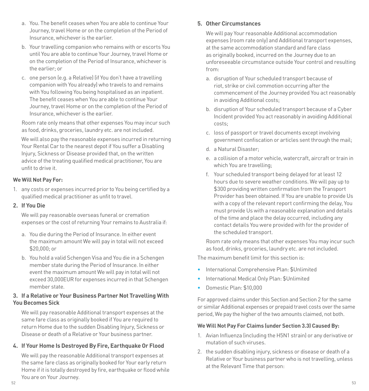- a. You. The benefit ceases when You are able to continue Your Journey, travel Home or on the completion of the Period of Insurance, whichever is the earlier.
- b. Your travelling companion who remains with or escorts You until You are able to continue Your Journey, travel Home or on the completion of the Period of Insurance, whichever is the earlier; or
- c. one person (e.g. a Relative) (if You don't have a travelling companion with You already) who travels to and remains with You following You being hospitalised as an inpatient. The benefit ceases when You are able to continue Your Journey, travel Home or on the completion of the Period of Insurance, whichever is the earlier.

Room rate only means that other expenses You may incur such as food, drinks, groceries, laundry etc. are not included.

We will also pay the reasonable expenses incurred in returning Your Rental Car to the nearest depot if You suffer a Disabling Injury, Sickness or Disease provided that, on the written advice of the treating qualified medical practitioner, You are unfit to drive it.

#### **We Will Not Pay For:**

1. any costs or expenses incurred prior to You being certified by a qualified medical practitioner as unfit to travel.

#### <span id="page-26-0"></span>**2. If You Die**

We will pay reasonable overseas funeral or cremation expenses or the cost of returning Your remains to Australia if:

- a. You die during the Period of Insurance. In either event the maximum amount We will pay in total will not exceed \$20,000; or
- b. You hold a valid Schengen Visa and You die in a Schengen member state during the Period of Insurance. In either event the maximum amount We will pay in total will not exceed 30,000EUR for expenses incurred in that Schengen member state.

#### **3. If a Relative or Your Business Partner Not Travelling With You Becomes Sick**

We will pay reasonable Additional transport expenses at the same fare class as originally booked if You are required to return Home due to the sudden Disabling Injury, Sickness or Disease or death of a Relative or Your business partner.

#### **4. If Your Home Is Destroyed By Fire, Earthquake Or Flood**

We will pay the reasonable Additional transport expenses at the same fare class as originally booked for Your early return Home if it is totally destroyed by fire, earthquake or flood while You are on Your Journey.

#### **5. Other Circumstances**

We will pay Your reasonable Additional accommodation expenses (room rate only) and Additional transport expenses, at the same accommodation standard and fare class as originally booked, incurred on the Journey due to an unforeseeable circumstance outside Your control and resulting from:

- a. disruption of Your scheduled transport because of riot, strike or civil commotion occurring after the commencement of the Journey provided You act reasonably in avoiding Additional costs;
- b. disruption of Your scheduled transport because of a Cyber Incident provided You act reasonably in avoiding Additional costs;
- c. loss of passport or travel documents except involving government confiscation or articles sent through the mail;
- d. a Natural Disaster;
- e. a collision of a motor vehicle, watercraft, aircraft or train in which You are travelling;
- <span id="page-26-1"></span>f. Your scheduled transport being delayed for at least 12 hours due to severe weather conditions. We will pay up to \$300 providing written confirmation from the Transport Provider has been obtained. If You are unable to provide Us with a copy of the relevant report confirming the delay, You must provide Us with a reasonable explanation and details of the time and place the delay occurred, including any contact details You were provided with for the provider of the scheduled transport.

Room rate only means that other expenses You may incur such as food, drinks, groceries, laundry etc. are not included.

The maximum benefit limit for this section is:

- International Comprehensive Plan: \$Unlimited
- International Medical Only Plan: \$Unlimited
- Domestic Plan: \$10,000

For approved claims under this Section and Section 2 for the same or similar Additional expenses or prepaid travel costs over the same period, We pay the higher of the two amounts claimed, not both.

#### **We Will Not Pay For Claims (under Section 3.3) Caused By:**

- 1. Avian Influenza (including the H5N1 strain) or any derivative or mutation of such viruses.
- <span id="page-26-2"></span>2. the sudden disabling injury, sickness or disease or death of a Relative or Your business partner who is not travelling, unless at the Relevant Time that person: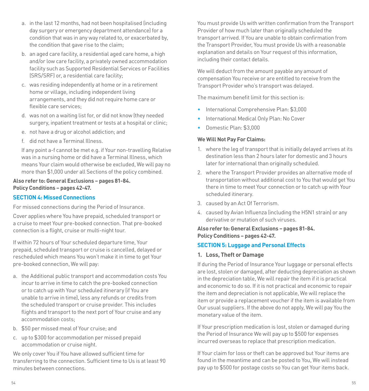- a. in the last 12 months, had not been hospitalised (including day surgery or emergency department attendance) for a condition that was in any way related to, or exacerbated by, the condition that gave rise to the claim;
- b. an aged care facility, a residential aged care home, a high and/or low care facility, a privately owned accommodation facility such as Supported Residential Services or Facilities (SRS/SRF) or, a residential care facility;
- c. was residing independently at home or in a retirement home or village, including independent living arrangements, and they did not require home care or flexible care services;
- d. was not on a waiting list for, or did not know (they needed surgery, inpatient treatment or tests at a hospital or clinic;
- e. not have a drug or alcohol addiction; and
- f. did not have a Terminal Illness.

 If any point a-f cannot be met e.g. if Your non-travelling Relative was in a nursing home or did have a Terminal Illness, which means Your claim would otherwise be excluded, We will pay no more than \$1,000 under all Sections of the policy combined.

#### **Also refer to: General Exclusions – pages [81](#page-40-0)-[84](#page-42-5). Policy Conditions – pages [42](#page-21-0)[-47.](#page-23-3)**

#### <span id="page-27-1"></span>**SECTION 4: Missed Connections**

For missed connections during the Period of Insurance.

Cover applies where You have prepaid, scheduled transport or a cruise to meet Your pre-booked connection. That pre-booked connection is a flight, cruise or multi-night tour.

If within 72 hours of Your scheduled departure time, Your prepaid, scheduled transport or cruise is cancelled, delayed or rescheduled which means You won't make it in time to get Your pre-booked connection, We will pay:

- a. the Additional public transport and accommodation costs You incur to arrive in time to catch the pre-booked connection or to catch up with Your scheduled itinerary (if You are unable to arrive in time), less any refunds or credits from the scheduled transport or cruise provider. This includes flights and transport to the next port of Your cruise and any accommodation costs;
- b. \$50 per missed meal of Your cruise; and
- c. up to \$300 for accommodation per missed prepaid accommodation or cruise night.

We only cover You if You have allowed sufficient time for transferring to the connection. Sufficient time to Us is at least 90 minutes between connections.

You must provide Us with written confirmation from the Transport Provider of how much later than originally scheduled the transport arrived. If You are unable to obtain confirmation from the Transport Provider, You must provide Us with a reasonable explanation and details on Your request of this information, including their contact details.

We will deduct from the amount payable any amount of compensation You receive or are entitled to receive from the Transport Provider who's transport was delayed.

The maximum benefit limit for this section is:

- International Comprehensive Plan: \$3,000
- International Medical Only Plan: No Cover
- Domestic Plan: \$3,000

#### **We Will Not Pay For Claims:**

- 1. where the leg of transport that is initially delayed arrives at its destination less than 2 hours later for domestic and 3 hours later for international than originally scheduled.
- 2. where the Transport Provider provides an alternative mode of transportation without additional cost to You that would get You there in time to meet Your connection or to catch up with Your scheduled itinerary.
- 3. caused by an Act Of Terrorism.
- 4. caused by Avian Influenza (including the H5N1 strain) or any derivative or mutation of such viruses.

**Also refer to: General Exclusions – pages [81](#page-40-0)[-84.](#page-42-5) Policy Conditions – pages [42](#page-21-0)[-47](#page-23-3).**

#### <span id="page-27-0"></span>**SECTION 5: Luggage and Personal Effects**

#### **1. Loss, Theft or Damage**

If during the Period of Insurance Your luggage or personal effects are lost, stolen or damaged, after deducting depreciation as shown in the depreciation table, We will repair the item if it is practical and economic to do so. If it is not practical and economic to repair the item and depreciation is not applicable, We will replace the item or provide a replacement voucher if the item is available from Our usual suppliers. If the above do not apply, We will pay You the monetary value of the item.

If Your prescription medication is lost, stolen or damaged during the Period of Insurance We will pay up to \$500 for expenses incurred overseas to replace that prescription medication.

If Your claim for loss or theft can be approved but Your items are found in the meantime and can be posted to You, We will instead pay up to \$500 for postage costs so You can get Your items back.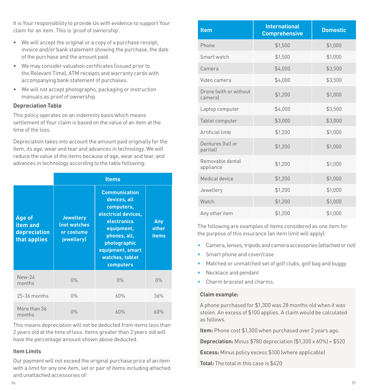It is Your responsibility to provide Us with evidence to support Your claim for an item. This is 'proof of ownership'.

- We will accept the original or a copy of a purchase receipt, invoice and/or bank statement showing the purchase, the date of the purchase and the amount paid.
- We may consider valuation certificates (issued prior to the Relevant Time), ATM receipts and warranty cards with accompanying bank statement of purchases.
- We will not accept photographs, packaging or instruction manuals as proof of ownership.

#### **Depreciation Table**

This policy operates on an indemnity basis which means settlement of Your claim is based on the value of an item at the time of the loss.

Depreciation takes into account the amount paid originally for the item, its age, wear and tear and advances in technology. We will reduce the value of the items because of age, wear and tear, and advances in technology according to the table following:

|                                                    | <b>Items</b>                                                        |                                                                                                                                                                                            |                              |
|----------------------------------------------------|---------------------------------------------------------------------|--------------------------------------------------------------------------------------------------------------------------------------------------------------------------------------------|------------------------------|
| Age of<br>item and<br>depreciation<br>that applies | <b>Jewellery</b><br><b>(not watches</b><br>or costume<br>jewellery) | <b>Communication</b><br>devices, all<br>computers,<br>electrical devices,<br>electronics<br>equipment,<br>phones, all,<br>photographic<br>equipment, smart<br>watches, tablet<br>computers | Any<br>other<br><b>items</b> |
| New-24<br>months                                   | $0\%$                                                               | $0\%$                                                                                                                                                                                      | $0\%$                        |
| 25-36 months                                       | $0\%$                                                               | 60%                                                                                                                                                                                        | 36%                          |
| More than 36<br>months                             | $0\%$                                                               | 60%                                                                                                                                                                                        | 60%                          |

This means depreciation will not be deducted from items less than 2 years old at the time of loss. Items greater than 2 years old will have the percentage amount shown above deducted.

#### **Item Limits**

Our payment will not exceed the original purchase price of an item with a limit for any one item, set or pair of items including attached and unattached accessories of:

| <b>Item</b>                       | <b>International</b><br><b>Comprehensive</b> | <b>Domestic</b> |
|-----------------------------------|----------------------------------------------|-----------------|
| Phone                             | \$1,500                                      | \$1,000         |
| Smart watch                       | \$1,500                                      | \$1,000         |
| Camera                            | \$4,000                                      | \$3,500         |
| Video camera                      | \$4,000                                      | \$3,500         |
| Drone (with or without<br>cameral | \$1,200                                      | \$1,000         |
| Laptop computer                   | \$4,000                                      | \$3,500         |
| Tablet computer                   | \$3,000                                      | \$3,000         |
| Artificial limb                   | \$1,200                                      | \$1,000         |
| Dentures (full or<br>partial)     | \$1,200                                      | \$1,000         |
| Removable dental<br>appliance     | \$1,200                                      | \$1,000         |
| Medical device                    | \$1,200                                      | \$1,000         |
| Jewellery                         | \$1,200                                      | \$1,000         |
| Watch                             | \$1,200                                      | \$1,000         |
| Any other item                    | \$1,200                                      | \$1,000         |

The following are examples of items considered as one item for the purpose of this insurance (an item limit will apply):

- Camera, lenses, tripods and camera accessories (attached or not)
- Smart phone and cover/case
- Matched or unmatched set of golf clubs, golf bag and buggy
- Necklace and pendant
- Charm bracelet and charms.

#### **Claim example:**

A phone purchased for \$1,300 was 28 months old when it was stolen. An excess of \$100 applies. A claim would be calculated as follows.

**Item:** Phone cost \$1,300 when purchased over 2 years ago.

**Depreciation:** Minus \$780 depreciation (\$1,300 x 60%) = \$520

**Excess:** Minus policy excess \$100 (where applicable)

**Total:** The total in this case is \$420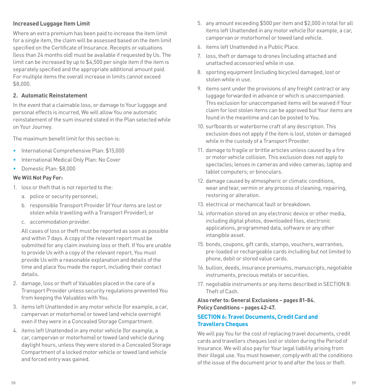#### **Increased Luggage Item Limit**

Where an extra premium has been paid to increase the item limit for a single item, the claim will be assessed based on the item limit specified on the Certificate of Insurance. Receipts or valuations (less than 24 months old) must be available if requested by Us. The limit can be increased by up to \$4,500 per single item if the item is separately specified and the appropriate additional amount paid. For multiple items the overall increase in limits cannot exceed \$8,000.

#### **2. Automatic Reinstatement**

In the event that a claimable loss, or damage to Your luggage and personal effects is incurred, We will allow You one automatic reinstatement of the sum insured stated in the Plan selected while on Your Journey.

The maximum benefit limit for this section is:

- International Comprehensive Plan: \$15,000
- International Medical Only Plan: No Cover
- Domestic Plan: \$8,000

#### **We Will Not Pay For:**

- 1. loss or theft that is not reported to the:
	- a. police or security personnel;
	- b. responsible Transport Provider (if Your items are lost or stolen while travelling with a Transport Provider); or
	- c. accommodation provider.

 All cases of loss or theft must be reported as soon as possible and within 7 days. A copy of the relevant report must be submitted for any claim involving loss or theft. If You are unable to provide Us with a copy of the relevant report, You must provide Us with a reasonable explanation and details of the time and place You made the report, including their contact details.

- 2. damage, loss or theft of Valuables placed in the care of a Transport Provider unless security regulations prevented You from keeping the Valuables with You.
- 3. items left Unattended in any motor vehicle (for example, a car, campervan or motorhome) or towed land vehicle overnight even if they were in a Concealed Storage Compartment.
- 4. items left Unattended in any motor vehicle (for example, a car, campervan or motorhome) or towed land vehicle during daylight hours, unless they were stored in a Concealed Storage Compartment of a locked motor vehicle or towed land vehicle and forced entry was gained.
- 5. any amount exceeding \$500 per item and \$2,000 in total for all items left Unattended in any motor vehicle (for example, a car, campervan or motorhome) or towed land vehicle.
- 6. items left Unattended in a Public Place.
- 7. loss, theft or damage to drones (including attached and unattached accessories) while in use.
- 8. sporting equipment (including bicycles) damaged, lost or stolen while in use.
- 9. items sent under the provisions of any freight contract or any luggage forwarded in advance or which is unaccompanied. This exclusion for unaccompanied items will be waived if Your claim for lost stolen items can be approved but Your items are found in the meantime and can be posted to You.
- 10. surfboards or waterborne craft of any description. This exclusion does not apply if the item is lost, stolen or damaged while in the custody of a Transport Provider.
- 11. damage to fragile or brittle articles unless caused by a fire or motor vehicle collision. This exclusion does not apply to spectacles; lenses in cameras and video cameras; laptop and tablet computers; or binoculars.
- 12. damage caused by atmospheric or climatic conditions, wear and tear, vermin or any process of cleaning, repairing, restoring or alteration.
- 13. electrical or mechanical fault or breakdown.
- 14. information stored on any electronic device or other media, including digital photos, downloaded files, electronic applications, programmed data, software or any other intangible asset.
- 15. bonds, coupons, gift cards, stamps, vouchers, warranties, pre-loaded or rechargeable cards including but not limited to phone, debit or stored value cards.
- 16. bullion, deeds, insurance premiums, manuscripts, negotiable instruments, precious metals or securities.
- 17. negotiable instruments or any items described in [SECTION 8:](#page-31-0)  [Theft of Cash](#page-31-0).

#### **Also refer to: General Exclusions – pages [81](#page-40-0)[-84.](#page-42-5) Policy Conditions – pages [42](#page-21-0)[-47](#page-23-3).**

#### **SECTION 6: Travel Documents, Credit Card and Travellers Cheques**

We will pay You for the cost of replacing travel documents, credit cards and travellers cheques lost or stolen during the Period of Insurance. We will also pay for Your legal liability arising from their illegal use. You must however, comply with all the conditions of the issue of the document prior to and after the loss or theft.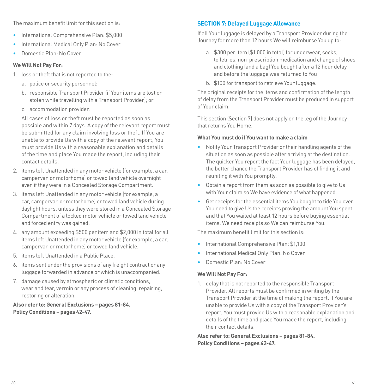The maximum benefit limit for this section is:

- International Comprehensive Plan: \$5,000
- International Medical Only Plan: No Cover
- Domestic Plan: No Cover

#### **We Will Not Pay For:**

- 1. loss or theft that is not reported to the:
	- a. police or security personnel;
	- b. responsible Transport Provider (if Your items are lost or stolen while travelling with a Transport Provider); or
	- c. accommodation provider.

 All cases of loss or theft must be reported as soon as possible and within 7 days. A copy of the relevant report must be submitted for any claim involving loss or theft. If You are unable to provide Us with a copy of the relevant report, You must provide Us with a reasonable explanation and details of the time and place You made the report, including their contact details.

- 2. items left Unattended in any motor vehicle (for example, a car, campervan or motorhome) or towed land vehicle overnight even if they were in a Concealed Storage Compartment.
- 3. items left Unattended in any motor vehicle (for example, a car, campervan or motorhome) or towed land vehicle during daylight hours, unless they were stored in a Concealed Storage Compartment of a locked motor vehicle or towed land vehicle and forced entry was gained.
- 4. any amount exceeding \$500 per item and \$2,000 in total for all items left Unattended in any motor vehicle (for example, a car, campervan or motorhome) or towed land vehicle.
- 5. items left Unattended in a Public Place.
- 6. items sent under the provisions of any freight contract or any luggage forwarded in advance or which is unaccompanied.
- 7. damage caused by atmospheric or climatic conditions, wear and tear, vermin or any process of cleaning, repairing, restoring or alteration.

**Also refer to: General Exclusions – pages [81](#page-40-0)-[84](#page-42-5). Policy Conditions – pages [42](#page-21-0)[-47.](#page-23-3)**

#### **SECTION 7: Delayed Luggage Allowance**

If all Your luggage is delayed by a Transport Provider during the Journey for more than 12 hours We will reimburse You up to:

- a. \$300 per item (\$1,000 in total) for underwear, socks, toiletries, non-prescription medication and change of shoes and clothing (and a bag) You bought after a 12 hour delay and before the luggage was returned to You
- b. \$100 for transport to retrieve Your luggage.

The original receipts for the items and confirmation of the length of delay from the Transport Provider must be produced in support of Your claim.

This section (Section 7) does not apply on the leg of the Journey that returns You Home.

#### **What You must do if You want to make a claim**

- Notify Your Transport Provider or their handling agents of the situation as soon as possible after arriving at the destination. The quicker You report the fact Your luggage has been delayed, the better chance the Transport Provider has of finding it and reuniting it with You promptly.
- Obtain a report from them as soon as possible to give to Us with Your claim so We have evidence of what happened.
- Get receipts for the essential items You bought to tide You over. You need to give Us the receipts proving the amount You spent and that You waited at least 12 hours before buying essential items. We need receipts so We can reimburse You.

The maximum benefit limit for this section is:

- International Comprehensive Plan: \$1,100
- International Medical Only Plan: No Cover
- Domestic Plan: No Cover

#### **We Will Not Pay For:**

1. delay that is not reported to the responsible Transport Provider. All reports must be confirmed in writing by the Transport Provider at the time of making the report. If You are unable to provide Us with a copy of the Transport Provider's report, You must provide Us with a reasonable explanation and details of the time and place You made the report, including their contact details.

**Also refer to: General Exclusions – pages [81](#page-40-0)[-84.](#page-42-5) Policy Conditions – pages [42](#page-21-0)[-47](#page-23-3).**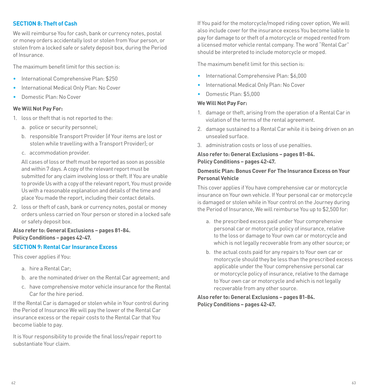#### <span id="page-31-0"></span>**SECTION 8: Theft of Cash**

We will reimburse You for cash, bank or currency notes, postal or money orders accidentally lost or stolen from Your person, or stolen from a locked safe or safety deposit box, during the Period of Insurance.

The maximum benefit limit for this section is:

- International Comprehensive Plan: \$250
- International Medical Only Plan: No Cover
- Domestic Plan: No Cover

#### **We Will Not Pay For:**

- 1. loss or theft that is not reported to the:
	- a. police or security personnel;
	- b. responsible Transport Provider (if Your items are lost or stolen while travelling with a Transport Provider); or
	- c. accommodation provider.

 All cases of loss or theft must be reported as soon as possible and within 7 days. A copy of the relevant report must be submitted for any claim involving loss or theft. If You are unable to provide Us with a copy of the relevant report, You must provide Us with a reasonable explanation and details of the time and place You made the report, including their contact details.

2. loss or theft of cash, bank or currency notes, postal or money orders unless carried on Your person or stored in a locked safe or safety deposit box.

#### **Also refer to: General Exclusions – pages [81](#page-40-0)-[84](#page-42-5). Policy Conditions – pages [42](#page-21-0)[-47.](#page-23-3)**

#### **SECTION 9: Rental Car Insurance Excess**

This cover applies if You:

- a. hire a Rental Car;
- b. are the nominated driver on the Rental Car agreement; and
- c. have comprehensive motor vehicle insurance for the Rental Car for the hire period.

If the Rental Car is damaged or stolen while in Your control during the Period of Insurance We will pay the lower of the Rental Car insurance excess or the repair costs to the Rental Car that You become liable to pay.

It is Your responsibility to provide the final loss/repair report to substantiate Your claim.

If You paid for the motorcycle/moped riding cover option, We will also include cover for the insurance excess You become liable to pay for damage to or theft of a motorcycle or moped rented from a licensed motor vehicle rental company. The word "Rental Car" should be interpreted to include motorcycle or moped.

The maximum benefit limit for this section is:

- International Comprehensive Plan: \$6,000
- International Medical Only Plan: No Cover
- Domestic Plan: \$5,000

#### **We Will Not Pay For:**

- 1. damage or theft, arising from the operation of a Rental Car in violation of the terms of the rental agreement.
- 2. damage sustained to a Rental Car while it is being driven on an unsealed surface.
- 3. administration costs or loss of use penalties.

#### **Also refer to: General Exclusions – pages [81](#page-40-0)[-84.](#page-42-5) Policy Conditions – pages [42](#page-21-0)[-47](#page-23-3).**

#### **Domestic Plan: Bonus Cover For The Insurance Excess on Your Personal Vehicle**

This cover applies if You have comprehensive car or motorcycle insurance on Your own vehicle. If Your personal car or motorcycle is damaged or stolen while in Your control on the Journey during the Period of Insurance, We will reimburse You up to \$2,500 for:

- a. the prescribed excess paid under Your comprehensive personal car or motorcycle policy of insurance, relative to the loss or damage to Your own car or motorcycle and which is not legally recoverable from any other source; or
- b. the actual costs paid for any repairs to Your own car or motorcycle should they be less than the prescribed excess applicable under the Your comprehensive personal car or motorcycle policy of insurance, relative to the damage to Your own car or motorcycle and which is not legally recoverable from any other source.

#### **Also refer to: General Exclusions – pages [81](#page-40-0)[-84.](#page-42-5) Policy Conditions – pages [42](#page-21-0)[-47](#page-23-3).**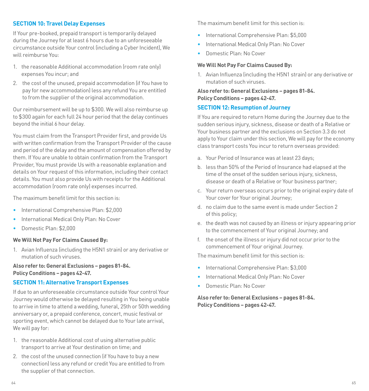#### <span id="page-32-0"></span>**SECTION 10: Travel Delay Expenses**

If Your pre-booked, prepaid transport is temporarily delayed during the Journey for at least 6 hours due to an unforeseeable circumstance outside Your control (including a Cyber Incident), We will reimburse You:

- 1. the reasonable Additional accommodation (room rate only) expenses You incur; and
- 2. the cost of the unused, prepaid accommodation (if You have to pay for new accommodation) less any refund You are entitled to from the supplier of the original accommodation.

Our reimbursement will be up to \$300. We will also reimburse up to \$300 again for each full 24 hour period that the delay continues beyond the initial 6 hour delay.

You must claim from the Transport Provider first, and provide Us with written confirmation from the Transport Provider of the cause and period of the delay and the amount of compensation offered by them. If You are unable to obtain confirmation from the Transport Provider, You must provide Us with a reasonable explanation and details on Your request of this information, including their contact details. You must also provide Us with receipts for the Additional accommodation (room rate only) expenses incurred.

The maximum benefit limit for this section is:

- International Comprehensive Plan: \$2,000
- International Medical Only Plan: No Cover
- Domestic Plan: \$2,000

#### **We Will Not Pay For Claims Caused By:**

1. Avian Influenza (including the H5N1 strain) or any derivative or mutation of such viruses.

#### **Also refer to: General Exclusions – pages [81](#page-40-0)-[84](#page-42-5). Policy Conditions – pages [42](#page-21-0)[-47.](#page-23-3)**

#### <span id="page-32-1"></span>**SECTION 11: Alternative Transport Expenses**

If due to an unforeseeable circumstance outside Your control Your Journey would otherwise be delayed resulting in You being unable to arrive in time to attend a wedding, funeral, 25th or 50th wedding anniversary or, a prepaid conference, concert, music festival or sporting event, which cannot be delayed due to Your late arrival, We will nay for:

- 1. the reasonable Additional cost of using alternative public transport to arrive at Your destination on time; and
- 2. the cost of the unused connection (if You have to buy a new connection) less any refund or credit You are entitled to from the supplier of that connection.

The maximum benefit limit for this section is:

- International Comprehensive Plan: \$5,000
- International Medical Only Plan: No Cover
- Domestic Plan: No Cover

#### **We Will Not Pay For Claims Caused By:**

1. Avian Influenza (including the H5N1 strain) or any derivative or mutation of such viruses.

**Also refer to: General Exclusions – pages [81](#page-40-0)[-84.](#page-42-5) Policy Conditions – pages [42](#page-21-0)[-47](#page-23-3).**

#### **SECTION 12: Resumption of Journey**

If You are required to return Home during the Journey due to the sudden serious injury, sickness, disease or death of a Relative or Your business partner and the exclusions on Section 3.3 do not apply to Your claim under this section, We will pay for the economy class transport costs You incur to return overseas provided:

- a. Your Period of Insurance was at least 23 days;
- b. less than 50% of the Period of Insurance had elapsed at the time of the onset of the sudden serious injury, sickness, disease or death of a Relative or Your business partner;
- c. Your return overseas occurs prior to the original expiry date of Your cover for Your original Journey;
- d. no claim due to the same event is made under Section 2 of this policy;
- e. the death was not caused by an illness or injury appearing prior to the commencement of Your original Journey; and
- f. the onset of the illness or injury did not occur prior to the commencement of Your original Journey.

The maximum benefit limit for this section is:

- International Comprehensive Plan: \$3,000
- International Medical Only Plan: No Cover
- Domestic Plan: No Cover

#### **Also refer to: General Exclusions – pages [81](#page-40-0)[-84.](#page-42-5) Policy Conditions – pages [42](#page-21-0)[-47](#page-23-3).**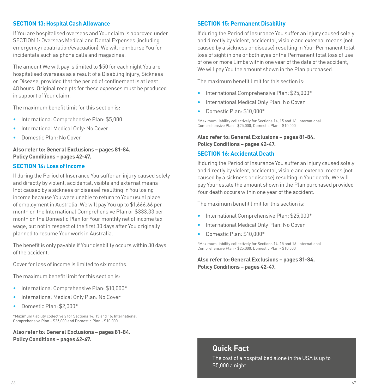#### **SECTION 13: Hospital Cash Allowance**

If You are hospitalised overseas and Your claim is approved under SECTION 1: Overseas Medical and Dental Expenses (including emergency repatriation/evacuation), We will reimburse You for incidentals such as phone calls and magazines.

The amount We will pay is limited to \$50 for each night You are hospitalised overseas as a result of a Disabling Injury, Sickness or Disease, provided that the period of confinement is at least 48 hours. Original receipts for these expenses must be produced in support of Your claim.

The maximum benefit limit for this section is:

- International Comprehensive Plan: \$5,000
- International Medical Only: No Cover
- Domestic Plan: No Cover

#### **Also refer to: General Exclusions – pages [81](#page-40-0)-[84](#page-42-5). Policy Conditions – pages [42](#page-21-0)[-47.](#page-23-3)**

#### **SECTION 14: Loss of Income**

If during the Period of Insurance You suffer an injury caused solely and directly by violent, accidental, visible and external means (not caused by a sickness or disease) resulting in You losing income because You were unable to return to Your usual place of employment in Australia, We will pay You up to \$1,666.66 per month on the International Comprehensive Plan or \$333.33 per month on the Domestic Plan for Your monthly net of income tax wage, but not in respect of the first 30 days after You originally planned to resume Your work in Australia.

The benefit is only payable if Your disability occurs within 30 days of the accident.

Cover for loss of income is limited to six months.

The maximum benefit limit for this section is:

- International Comprehensive Plan: \$10,000\*
- International Medical Only Plan: No Cover
- Domestic Plan: \$2,000\*

\*Maximum liability collectively for Sections 14, 15 and 16: International Comprehensive Plan - \$25,000 and Domestic Plan - \$10,000

**Also refer to: General Exclusions – pages [81](#page-40-0)-[84](#page-42-5). Policy Conditions – pages [42](#page-21-0)[-47.](#page-23-3)**

#### **SECTION 15: Permanent Disability**

If during the Period of Insurance You suffer an injury caused solely and directly by violent, accidental, visible and external means (not caused by a sickness or disease) resulting in Your Permanent total loss of sight in one or both eyes or the Permanent total loss of use of one or more Limbs within one year of the date of the accident, We will pay You the amount shown in the Plan purchased.

The maximum benefit limit for this section is:

- International Comprehensive Plan: \$25,000\*
- International Medical Only Plan: No Cover
- Domestic Plan: \$10,000\*

\*Maximum liability collectively for Sections 14, 15 and 16: International Comprehensive Plan - \$25,000, Domestic Plan - \$10,000

#### **Also refer to: General Exclusions – pages [81](#page-40-0)[-84.](#page-42-5) Policy Conditions – pages [42](#page-21-0)[-47](#page-23-3).**

#### **SECTION 16: Accidental Death**

If during the Period of Insurance You suffer an injury caused solely and directly by violent, accidental, visible and external means (not caused by a sickness or disease) resulting in Your death, We will pay Your estate the amount shown in the Plan purchased provided Your death occurs within one year of the accident.

The maximum benefit limit for this section is:

- International Comprehensive Plan: \$25,000\*
- International Medical Only Plan: No Cover
- Domestic Plan: \$10,000\*

\*Maximum liability collectively for Sections 14, 15 and 16: International Comprehensive Plan - \$25,000, Domestic Plan - \$10,000

**Also refer to: General Exclusions – pages [81](#page-40-0)[-84.](#page-42-5) Policy Conditions – pages [42](#page-21-0)[-47](#page-23-3).**

#### **Quick Fact**

The cost of a hospital bed alone in the USA is up to \$5,000 a night.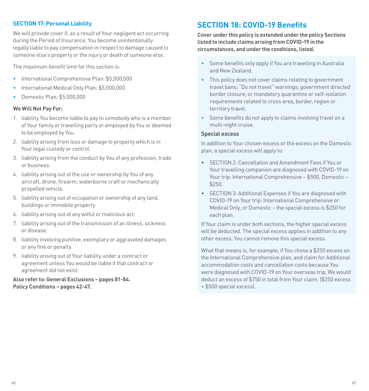#### <span id="page-34-1"></span>**SECTION 17: Personal Liability**

We will provide cover if, as a result of Your negligent act occurring during the Period of Insurance, You become unintentionally legally liable to pay compensation in respect to damage caused to someone else's property or the injury or death of someone else.

The maximum benefit limit for this section is:

- International Comprehensive Plan: \$5,000,000
- International Medical Only Plan: \$5,000,000
- Domestic Plan: \$5,000,000

#### **We Will Not Pay For:**

- 1. liability You become liable to pay to somebody who is a member of Your family or travelling party or employed by You or deemed to be employed by You.
- 2. liability arising from loss or damage to property which is in Your legal custody or control.
- 3. liability arising from the conduct by You of any profession, trade or business.
- 4. liability arising out of the use or ownership by You of any aircraft, drone, firearm, waterborne craft or mechanically propelled vehicle.
- 5. liability arising out of occupation or ownership of any land, buildings or immobile property.
- 6. liability arising out of any wilful or malicious act.
- 7. liability arising out of the transmission of an illness, sickness or disease.
- 8. liability involving punitive, exemplary or aggravated damages or any fine or penalty.
- 9. liability arising out of Your liability under a contract or agreement unless You would be liable if that contract or agreement did not exist.

**Also refer to: General Exclusions – pages [81](#page-40-0)-[84](#page-42-5). Policy Conditions – pages [42](#page-21-0)[-47.](#page-23-3)**

## <span id="page-34-0"></span>**SECTION 18: COVID-19 Benefits**

**Cover under this policy is extended under the policy Sections listed to include claims arising from COVID-19 in the circumstances, and under the conditions, listed.**

- Some benefits only apply if You are travelling in Australia and New Zealand.
- This policy does not cover claims relating to government travel bans; "Do not travel" warnings; government directed border closure; or mandatory quarantine or self-isolation requirements related to cross area, border, region or territory travel.
- Some benefits do not apply to claims involving travel on a multi-night cruise.

#### **Special excess**

In addition to Your chosen excess or the excess on the Domestic plan, a special excess will apply to:

- SECTION 2: Cancellation and Amendment Fees if You or Your travelling companion are diagnosed with COVID-19 on Your trip: International Comprehensive – \$500, Domestic – \$250.
- SECTION 3: Additional Expenses if You are diagnosed with COVID-19 on Your trip: International Comprehensive or Medical Only, or Domestic – the special excess is \$250 for each plan.

If Your claim is under both sections, the higher special excess will be deducted. The special excess applies in addition to any other excess. You cannot remove this special excess.

What that means is, for example, if You chose a \$250 excess on the International Comprehensive plan, and claim for Additional accommodation costs and cancellation costs because You were diagnosed with COVID-19 on Your overseas trip, We would deduct an excess of \$750 in total from Your claim. (\$250 excess + \$500 special excess).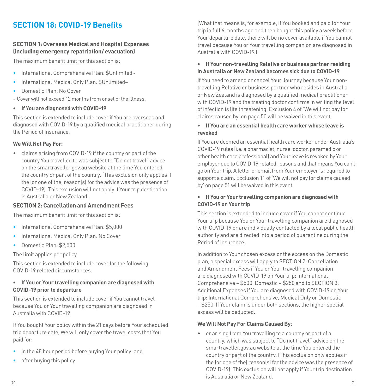## **SECTION 18: COVID-19 Benefits**

#### **SECTION 1: Overseas Medical and Hospital Expenses (including emergency repatriation/ evacuation)**

The maximum benefit limit for this section is:

- International Comprehensive Plan: \$Unlimited~
- International Medical Only Plan: \$Unlimited~
- Domestic Plan: No Cover

~ Cover will not exceed 12 months from onset of the illness.

**• If You are diagnosed with COVID-19**

This section is extended to include cover if You are overseas and diagnosed with COVID-19 by a qualified medical practitioner during the Period of Insurance.

#### **We Will Not Pay For:**

• claims arising from COVID-19 if the country or part of the country You travelled to was subject to "Do not travel" advice on the smartraveller.gov.au website at the time You entered the country or part of the country. (This exclusion only applies if the (or one of the) reason(s) for the advice was the presence of COVID-19). This exclusion will not apply if Your trip destination is Australia or New Zealand.

#### **SECTION 2: Cancellation and Amendment Fees**

The maximum benefit limit for this section is:

- International Comprehensive Plan: \$5,000
- International Medical Only Plan: No Cover
- Domestic Plan: \$2,500

The limit applies per policy.

This section is extended to include cover for the following COVID-19 related circumstances.

#### **• If You or Your travelling companion are diagnosed with COVID-19 prior to departure**

This section is extended to include cover if You cannot travel because You or Your travelling companion are diagnosed in Australia with COVID-19.

If You bought Your policy within the 21 days before Your scheduled trip departure date, We will only cover the travel costs that You paid for:

- in the 48 hour period before buying Your policy; and
- after buying this policy.

(What that means is, for example, if You booked and paid for Your trip in full 6 months ago and then bought this policy a week before Your departure date, there will be no cover available if You cannot travel because You or Your travelling companion are diagnosed in Australia with COVID-19.)

#### **• If Your non-travelling Relative or business partner residing in Australia or New Zealand becomes sick due to COVID-19**

If You need to amend or cancel Your Journey because Your nontravelling Relative or business partner who resides in Australia or New Zealand is diagnosed by a qualified medical practitioner with COVID-19 and the treating doctor confirms in writing the level of infection is life threatening. Exclusion 4 of 'We will not pay for claims caused by' on page [50](#page-25-1) will be waived in this event.

#### **• If You are an essential health care worker whose leave is revoked**

If You are deemed an essential health care worker under Australia's COVID-19 rules (i.e. a pharmacist, nurse, doctor, paramedic or other health care professional) and Your leave is revoked by Your employer due to COVID-19 related reasons and that means You can't go on Your trip. A letter or email from Your employer is required to support a claim. Exclusion 11 of 'We will not pay for claims caused by' on page [51](#page-25-2) will be waived in this event.

#### **• If You or Your travelling companion are diagnosed with COVID-19 on Your trip**

This section is extended to include cover if You cannot continue Your trip because You or Your travelling companion are diagnosed with COVID-19 or are individually contacted by a local public health authority and are directed into a period of quarantine during the Period of Insurance.

In addition to Your chosen excess or the excess on the Domestic plan, a special excess will apply to SECTION 2: Cancellation and Amendment Fees if You or Your travelling companion are diagnosed with COVID-19 on Your trip: International Comprehensive – \$500, Domestic – \$250 and to SECTION 3: Additional Expenses if You are diagnosed with COVID-19 on Your trip: International Comprehensive, Medical Only or Domestic – \$250. If Your claim is under both sections, the higher special excess will be deducted.

#### **We Will Not Pay For Claims Caused By:**

• or arising from You travelling to a country or part of a country, which was subject to "Do not travel" advice on the smartraveller.gov.au website at the time You entered the country or part of the country. (This exclusion only applies if the (or one of the) reason(s) for the advice was the presence of COVID-19). This exclusion will not apply if Your trip destination is Australia or New Zealand.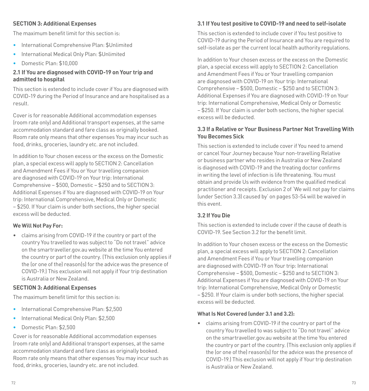#### **SECTION 3: Additional Expenses**

The maximum benefit limit for this section is:

- International Comprehensive Plan: \$Unlimited
- International Medical Only Plan: \$Unlimited
- Domestic Plan: \$10,000

#### **2.1 If You are diagnosed with COVID-19 on Your trip and admitted to hospital**

This section is extended to include cover if You are diagnosed with COVID-19 during the Period of Insurance and are hospitalised as a result.

Cover is for reasonable Additional accommodation expenses (room rate only) and Additional transport expenses, at the same accommodation standard and fare class as originally booked. Room rate only means that other expenses You may incur such as food, drinks, groceries, laundry etc. are not included.

In addition to Your chosen excess or the excess on the Domestic plan, a special excess will apply to SECTION 2: Cancellation and Amendment Fees if You or Your travelling companion are diagnosed with COVID-19 on Your trip: International Comprehensive – \$500, Domestic – \$250 and to SECTION 3: Additional Expenses if You are diagnosed with COVID-19 on Your trip: International Comprehensive, Medical Only or Domestic – \$250. If Your claim is under both sections, the higher special excess will be deducted.

#### **We Will Not Pay For:**

• claims arising from COVID-19 if the country or part of the country You travelled to was subject to "Do not travel" advice on the smartraveller.gov.au website at the time You entered the country or part of the country. (This exclusion only applies if the (or one of the) reason(s) for the advice was the presence of COVID-19.) This exclusion will not apply if Your trip destination is Australia or New Zealand.

#### **SECTION 3: Additional Expenses**

The maximum benefit limit for this section is:

- International Comprehensive Plan: \$2,500
- International Medical Only Plan: \$2,500
- Domestic Plan: \$2,500

Cover is for reasonable Additional accommodation expenses (room rate only) and Additional transport expenses, at the same accommodation standard and fare class as originally booked. Room rate only means that other expenses You may incur such as food, drinks, groceries, laundry etc. are not included.

#### **3.1 If You test positive to COVID-19 and need to self-isolate**

This section is extended to include cover if You test positive to COVID-19 during the Period of Insurance and You are required to self-isolate as per the current local health authority regulations.

In addition to Your chosen excess or the excess on the Domestic plan, a special excess will apply to SECTION 2: Cancellation and Amendment Fees if You or Your travelling companion are diagnosed with COVID-19 on Your trip: International Comprehensive – \$500, Domestic – \$250 and to SECTION 3: Additional Expenses if You are diagnosed with COVID-19 on Your trip: International Comprehensive, Medical Only or Domestic – \$250. If Your claim is under both sections, the higher special excess will be deducted.

#### **3.3 If a Relative or Your Business Partner Not Travelling With You Becomes Sick**

This section is extended to include cover if You need to amend or cancel Your Journey because Your non-travelling Relative or business partner who resides in Australia or New Zealand is diagnosed with COVID-19 and the treating doctor confirms in writing the level of infection is life threatening. You must obtain and provide Us with evidence from the qualified medical practitioner and receipts. Exclusion 2 of 'We will not pay for claims (under Section 3.3) caused by' on pages [53](#page-26-2)-54 will be waived in this event.

#### **3.2 If You Die**

This section is extended to include cover if the cause of death is COVID-19. See Section 3.2 for the benefit limit.

In addition to Your chosen excess or the excess on the Domestic plan, a special excess will apply to SECTION 2: Cancellation and Amendment Fees if You or Your travelling companion are diagnosed with COVID-19 on Your trip: International Comprehensive – \$500, Domestic – \$250 and to SECTION 3: Additional Expenses if You are diagnosed with COVID-19 on Your trip: International Comprehensive, Medical Only or Domestic – \$250. If Your claim is under both sections, the higher special excess will be deducted.

#### **What Is Not Covered (under 3.1 and 3.2):**

• claims arising from COVID-19 if the country or part of the country You travelled to was subject to "Do not travel" advice on the smartraveller.gov.au website at the time You entered the country or part of the country. (This exclusion only applies if the (or one of the) reason(s) for the advice was the presence of COVID-19.) This exclusion will not apply if Your trip destination is Australia or New Zealand.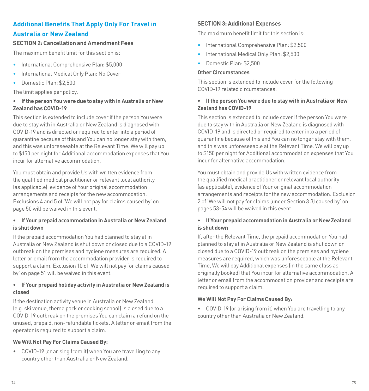### **Additional Benefits That Apply Only For Travel in Australia or New Zealand**

#### **SECTION 2: Cancellation and Amendment Fees**

The maximum benefit limit for this section is:

- International Comprehensive Plan: \$5,000
- International Medical Only Plan: No Cover
- Domestic Plan: \$2,500

The limit applies per policy.

#### **• If the person You were due to stay with in Australia or New Zealand has COVID-19**

This section is extended to include cover if the person You were due to stay with in Australia or New Zealand is diagnosed with COVID-19 and is directed or required to enter into a period of quarantine because of this and You can no longer stay with them, and this was unforeseeable at the Relevant Time. We will pay up to \$150 per night for Additional accommodation expenses that You incur for alternative accommodation.

You must obtain and provide Us with written evidence from the qualified medical practitioner or relevant local authority (as applicable), evidence of Your original accommodation arrangements and receipts for the new accommodation. Exclusions 4 and 5 of 'We will not pay for claims caused by' on page [50](#page-25-1) will be waived in this event.

#### **• If Your prepaid accommodation in Australia or New Zealand is shut down**

If the prepaid accommodation You had planned to stay at in Australia or New Zealand is shut down or closed due to a COVID-19 outbreak on the premises and hygiene measures are required. A letter or email from the accommodation provider is required to support a claim. Exclusion 10 of 'We will not pay for claims caused by' on page [51](#page-25-3) will be waived in this event.

#### **• If Your prepaid holiday activity in Australia or New Zealand is closed**

If the destination activity venue in Australia or New Zealand (e.g. ski venue, theme park or cooking school) is closed due to a COVID-19 outbreak on the premises You can claim a refund on the unused, prepaid, non-refundable tickets. A letter or email from the operator is required to support a claim.

#### **We Will Not Pay For Claims Caused By:**

• COVID-19 (or arising from it) when You are travelling to any country other than Australia or New Zealand.

#### **SECTION 3: Additional Expenses**

The maximum benefit limit for this section is:

- International Comprehensive Plan: \$2,500
- International Medical Only Plan: \$2,500
- Domestic Plan: \$2,500

#### **Other Circumstances**

This section is extended to include cover for the following COVID-19 related circumstances.

#### **• If the person You were due to stay with in Australia or New Zealand has COVID-19**

This section is extended to include cover if the person You were due to stay with in Australia or New Zealand is diagnosed with COVID-19 and is directed or required to enter into a period of quarantine because of this and You can no longer stay with them, and this was unforeseeable at the Relevant Time. We will pay up to \$150 per night for Additional accommodation expenses that You incur for alternative accommodation.

You must obtain and provide Us with written evidence from the qualified medical practitioner or relevant local authority (as applicable), evidence of Your original accommodation arrangements and receipts for the new accommodation. Exclusion 2 of 'We will not pay for claims (under Section 3.3) caused by' on pages [53](#page-26-2)-54 will be waived in this event.

#### **• If Your prepaid accommodation in Australia or New Zealand is shut down**

If, after the Relevant Time, the prepaid accommodation You had planned to stay at in Australia or New Zealand is shut down or closed due to a COVID-19 outbreak on the premises and hygiene measures are required, which was unforeseeable at the Relevant Time, We will pay Additional expenses (in the same class as originally booked) that You incur for alternative accommodation. A letter or email from the accommodation provider and receipts are required to support a claim.

#### **We Will Not Pay For Claims Caused By:**

• COVID-19 (or arising from it) when You are travelling to any country other than Australia or New Zealand.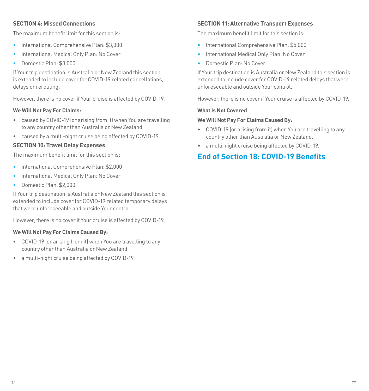#### **SECTION 4: Missed Connections**

The maximum benefit limit for this section is:

- International Comprehensive Plan: \$3,000
- International Medical Only Plan: No Cover
- Domestic Plan: \$3,000

If Your trip destination is Australia or New Zealand this section is extended to include cover for COVID-19 related cancellations, delays or rerouting.

However, there is no cover if Your cruise is affected by COVID-19.

#### **We Will Not Pay For Claims:**

- caused by COVID-19 (or arising from it) when You are travelling to any country other than Australia or New Zealand.
- caused by a multi-night cruise being affected by COVID-19.

#### **SECTION 10: Travel Delay Expenses**

The maximum benefit limit for this section is:

- International Comprehensive Plan: \$2,000
- International Medical Only Plan: No Cover
- Domestic Plan: \$2,000

If Your trip destination is Australia or New Zealand this section is extended to include cover for COVID-19 related temporary delays that were unforeseeable and outside Your control.

However, there is no cover if Your cruise is affected by COVID-19.

#### **We Will Not Pay For Claims Caused By:**

- COVID-19 (or arising from it) when You are travelling to any country other than Australia or New Zealand.
- a multi-night cruise being affected by COVID-19.

#### **SECTION 11: Alternative Transport Expenses**

The maximum benefit limit for this section is:

- International Comprehensive Plan: \$5,000
- International Medical Only Plan: No Cover
- Domestic Plan: No Cover

If Your trip destination is Australia or New Zealand this section is extended to include cover for COVID-19 related delays that were unforeseeable and outside Your control.

However, there is no cover if Your cruise is affected by COVID-19.

#### **What Is Not Covered**

#### **We Will Not Pay For Claims Caused By:**

- COVID-19 (or arising from it) when You are travelling to any country other than Australia or New Zealand.
- a multi-night cruise being affected by COVID-19.

### <span id="page-38-0"></span>**End of Section 18: COVID-19 Benefits**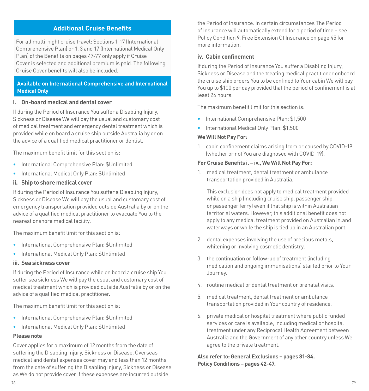#### <span id="page-39-0"></span>**Additional Cruise Benefits**

For all multi-night cruise travel: Sections 1-17 (International Comprehensive Plan) or 1, 3 and 17 (International Medical Only Plan) of the Benefits on pages [47](#page-23-2)[-77](#page-38-0) only apply if Cruise Cover is selected and additional premium is paid. The following Cruise Cover benefits will also be included.

#### **Available on International Comprehensive and International Medical Only**

#### **i. On-board medical and dental cover**

If during the Period of Insurance You suffer a Disabling Injury, Sickness or Disease We will pay the usual and customary cost of medical treatment and emergency dental treatment which is provided while on board a cruise ship outside Australia by or on the advice of a qualified medical practitioner or dentist.

The maximum benefit limit for this section is:

- International Comprehensive Plan: \$Unlimited
- International Medical Only Plan: \$Unlimited

#### **ii. Ship to shore medical cover**

If during the Period of Insurance You suffer a Disabling Injury, Sickness or Disease We will pay the usual and customary cost of emergency transportation provided outside Australia by or on the advice of a qualified medical practitioner to evacuate You to the nearest onshore medical facility.

The maximum benefit limit for this section is:

- International Comprehensive Plan: \$Unlimited
- International Medical Only Plan: \$Unlimited

#### **iii. Sea sickness cover**

If during the Period of Insurance while on board a cruise ship You suffer sea sickness We will pay the usual and customary cost of medical treatment which is provided outside Australia by or on the advice of a qualified medical practitioner.

The maximum benefit limit for this section is:

- International Comprehensive Plan: \$Unlimited
- International Medical Only Plan: \$Unlimited

#### **Please note**

Cover applies for a maximum of 12 months from the date of suffering the Disabling Injury, Sickness or Disease. Overseas medical and dental expenses cover may end less than 12 months from the date of suffering the Disabling Injury, Sickness or Disease as We do not provide cover if these expenses are incurred outside

the Period of Insurance. In certain circumstances The Period of Insurance will automatically extend for a period of time – see Policy Condition [9. Free Extension Of Insurance on page 45](#page-22-0) for more information.

#### **iv. Cabin confinement**

If during the Period of Insurance You suffer a Disabling Injury, Sickness or Disease and the treating medical practitioner onboard the cruise ship orders You to be confined to Your cabin We will pay You up to \$100 per day provided that the period of confinement is at least 24 hours.

The maximum benefit limit for this section is:

- International Comprehensive Plan: \$1,500
- International Medical Only Plan: \$1,500

#### **We Will Not Pay For:**

1. cabin confinement claims arising from or caused by COVID-19 (whether or not You are diagnosed with COVID-19).

#### **For Cruise Benefits i. – iv., We Will Not Pay For:**

1. medical treatment, dental treatment or ambulance transportation provided in Australia.

 This exclusion does not apply to medical treatment provided while on a ship (including cruise ship, passenger ship or passenger ferry) even if that ship is within Australian territorial waters. However, this additional benefit does not apply to any medical treatment provided on Australian inland waterways or while the ship is tied up in an Australian port.

- 2. dental expenses involving the use of precious metals, whitening or involving cosmetic dentistry.
- 3. the continuation or follow-up of treatment (including medication and ongoing immunisations) started prior to Your Journey.
- 4. routine medical or dental treatment or prenatal visits.
- 5. medical treatment, dental treatment or ambulance transportation provided in Your country of residence.
- 6. private medical or hospital treatment where public funded services or care is available, including medical or hospital treatment under any Reciprocal Health Agreement between Australia and the Government of any other country unless We agree to the private treatment.

**Also refer to: General Exclusions – pages [81](#page-40-0)[-84.](#page-42-5) Policy Conditions – pages [42](#page-21-0)[-47](#page-23-3).**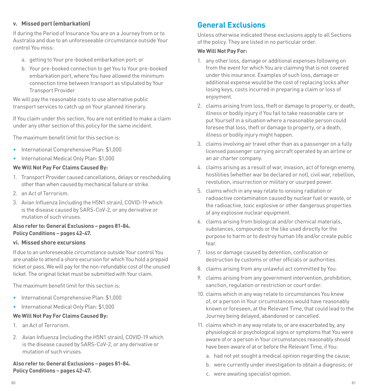#### **v. Missed port (embarkation)**

If during the Period of Insurance You are on a Journey from or to Australia and due to an unforeseeable circumstance outside Your control You miss:

- a. getting to Your pre-booked embarkation port; or
- b. Your pre-booked connection to get You to Your pre-booked embarkation port, where You have allowed the minimum connection time between transport as stipulated by Your Transport Provider

We will pay the reasonable costs to use alternative public transport services to catch up on Your planned itinerary.

If You claim under this section, You are not entitled to make a claim under any other section of this policy for the same incident.

The maximum benefit limit for this section is:

- International Comprehensive Plan: \$1,000
- International Medical Only Plan: \$1,000

#### **We Will Not Pay For Claims Caused By:**

- 1. Transport Provider caused cancellations, delays or rescheduling other than when caused by mechanical failure or strike.
- 2. an Act of Terrorism.
- 3. Avian Influenza (including the H5N1 strain), COVID-19 which is the disease caused by SARS-CoV-2, or any derivative or mutation of such viruses.

#### **Also refer to: General Exclusions – pages [81](#page-40-0)-[84](#page-42-5). Policy Conditions – pages [42](#page-21-0)[-47.](#page-23-3)**

#### <span id="page-40-1"></span>**vi. Missed shore excursions**

If due to an unforeseeable circumstance outside Your control You are unable to attend a shore excursion for which You hold a prepaid ticket or pass, We will pay for the non-refundable cost of the unused ticket. The original ticket must be submitted with Your claim.

The maximum benefit limit for this section is:

- International Comprehensive Plan: \$1,000
- International Medical Only Plan: \$1,000

#### **We Will Not Pay For Claims Caused By:**

- 1. an Act of Terrorism.
- 2. Avian Influenza (including the H5N1 strain), COVID-19 which is the disease caused by SARS-CoV-2, or any derivative or mutation of such viruses.

<span id="page-40-2"></span>**Also refer to: General Exclusions – pages [81](#page-40-0)-[84](#page-42-5). Policy Conditions – pages [42](#page-21-0)[-47.](#page-23-3)**

## <span id="page-40-0"></span>**General Exclusions**

Unless otherwise indicated these exclusions apply to all Sections of the policy. They are listed in no particular order.

#### **We Will Not Pay For:**

- 1. any other loss, damage or additional expenses following on from the event for which You are claiming that is not covered under this insurance. Examples of such loss, damage or additional expense would be the cost of replacing locks after losing keys, costs incurred in preparing a claim or loss of enjoyment.
- 2. claims arising from loss, theft or damage to property, or death, illness or bodily injury if You fail to take reasonable care or put Yourself in a situation where a reasonable person could foresee that loss, theft or damage to property, or a death, illness or bodily injury might happen.
- 3. claims involving air travel other than as a passenger on a fully licensed passenger carrying aircraft operated by an airline or an air charter company.
- 4. claims arising as a result of war, invasion, act of foreign enemy, hostilities (whether war be declared or not), civil war, rebellion, revolution, insurrection or military or usurped power.
- 5. claims which in any way relate to ionising radiation or radioactive contamination caused by nuclear fuel or waste, or the radioactive, toxic explosive or other dangerous properties of any explosive nuclear equipment.
- 6. claims arising from biological and/or chemical materials, substances, compounds or the like used directly for the purpose to harm or to destroy human life and/or create public fear.
- 7. loss or damage caused by detention, confiscation or destruction by customs or other officials or authorities.
- 8. claims arising from any unlawful act committed by You.
- 9. claims arising from any government intervention, prohibition, sanction, regulation or restriction or court order.
- 10. claims which in any way relate to circumstances You knew of, or a person in Your circumstances would have reasonably known or foreseen, at the Relevant Time, that could lead to the Journey being delayed, abandoned or cancelled.
- 11. claims which in any way relate to, or are exacerbated by, any physiological or psychological signs or symptoms that You were aware of or a person in Your circumstances reasonably should have been aware of at or before the Relevant Time, if You:
	- a. had not yet sought a medical opinion regarding the cause;
	- b. were currently under investigation to obtain a diagnosis; or
	- c. were awaiting specialist opinion.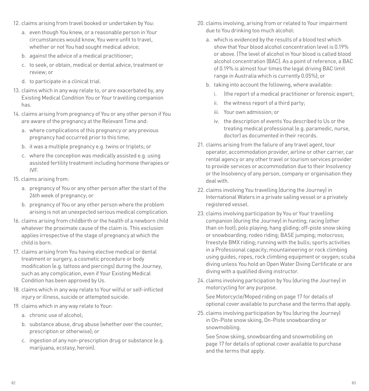- 12. claims arising from travel booked or undertaken by You:
	- a. even though You knew, or a reasonable person in Your circumstances would know, You were unfit to travel, whether or not You had sought medical advice;
	- b. against the advice of a medical practitioner;
	- c. to seek, or obtain, medical or dental advice, treatment or review; or
	- d. to participate in a clinical trial.
- 13. claims which in any way relate to, or are exacerbated by, any Existing Medical Condition You or Your travelling companion has.
- 14. claims arising from pregnancy of You or any other person if You are aware of the pregnancy at the Relevant Time and:
	- a. where complications of this pregnancy or any previous pregnancy had occurred prior to this time;
	- b. it was a multiple pregnancy e.g. twins or triplets; or
	- c. where the conception was medically assisted e.g. using assisted fertility treatment including hormone therapies or IVF.
- 15. claims arising from:
	- a. pregnancy of You or any other person after the start of the 26th week of pregnancy; or
	- b. pregnancy of You or any other person where the problem arising is not an unexpected serious medical complication.
- 16. claims arising from childbirth or the health of a newborn child whatever the proximate cause of the claim is. This exclusion applies irrespective of the stage of pregnancy at which the child is born.
- 17. claims arising from You having elective medical or dental treatment or surgery, a cosmetic procedure or body modification (e.g. tattoos and piercings) during the Journey, such as any complication, even if Your Existing Medical Condition has been approved by Us.
- 18. claims which in any way relate to Your wilful or self-inflicted injury or illness, suicide or attempted suicide.
- 19. claims which in any way relate to Your:
	- a. chronic use of alcohol;
	- b. substance abuse, drug abuse (whether over the counter, prescription or otherwise); or
	- c. ingestion of any non-prescription drug or substance (e.g. marijuana, ecstasy, heroin).
- 20. claims involving, arising from or related to Your impairment due to You drinking too much alcohol:
	- a. which is evidenced by the results of a blood test which show that Your blood alcohol concentration level is 0.19% or above. (The level of alcohol in Your blood is called blood alcohol concentration (BAC). As a point of reference, a BAC of 0.19% is almost four times the legal driving BAC limit range in Australia which is currently 0.05%); or
	- b. taking into account the following, where available:
		- i. |the report of a medical practitioner or forensic expert;
		- ii. the witness report of a third party;
		- iii. Your own admission; or
		- iv. the description of events You described to Us or the treating medical professional (e.g. paramedic, nurse, doctor) as documented in their records.
- 21. claims arising from the failure of any travel agent, tour operator, accommodation provider, airline or other carrier, car rental agency or any other travel or tourism services provider to provide services or accommodation due to their Insolvency or the Insolvency of any person, company or organisation they deal with.
- <span id="page-41-0"></span>22. claims involving You travelling (during the Journey) in International Waters in a private sailing vessel or a privately registered vessel.
- 23. claims involving participation by You or Your travelling companion (during the Journey) in hunting; racing (other than on foot); polo playing; hang gliding; off-piste snow skiing or snowboarding; rodeo riding; BASE jumping; motocross; freestyle BMX riding; running with the bulls; sports activities in a Professional capacity; mountaineering or rock climbing using guides, ropes, rock climbing equipment or oxygen; scuba diving unless You hold an Open Water Diving Certificate or are diving with a qualified diving instructor.
- 24. claims involving participation by You (during the Journey) in motorcycling for any purpose.

 See [Motorcycle/Moped riding on page 17](#page-8-1) for details of optional cover available to purchase and the terms that apply.

25. claims involving participation by You (during the Journey) in On-Piste snow skiing, On-Piste snowboarding or snowmobiling.

 See [Snow skiing, snowboarding and snowmobiling on](#page-8-0)  [page](#page-8-0) 17 for details of optional cover available to purchase and the terms that apply.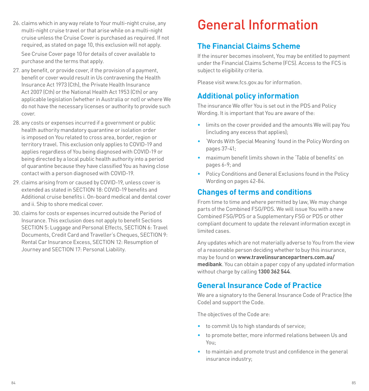26. claims which in any way relate to Your multi-night cruise, any multi-night cruise travel or that arise while on a multi-night cruise unless the Cruise Cover is purchased as required. If not required, as stated on page [10](#page-5-0), this exclusion will not apply.

 See Cruise Cover page [10](#page-5-0) for details of cover available to purchase and the terms that apply.

- 27. any benefit, or provide cover, if the provision of a payment, benefit or cover would result in Us contravening the Health Insurance Act 1973 (Cth), the Private Health Insurance Act 2007 (Cth) or the National Health Act 1953 (Cth) or any applicable legislation (whether in Australia or not) or where We do not have the necessary licenses or authority to provide such cover.
- 28. any costs or expenses incurred if a government or public health authority mandatory quarantine or isolation order is imposed on You related to cross area, border, region or territory travel. This exclusion only applies to COVID-19 and applies regardless of You being diagnosed with COVID-19 or being directed by a local public health authority into a period of quarantine because they have classified You as having close contact with a person diagnosed with COVID-19.
- 29. claims arising from or caused by COVID-19, unless cover is extended as stated in SECTION 18: COVID-19 benefits and Additional cruise benefits i. On-board medical and dental cover and ii. Ship to shore medical cover.
- <span id="page-42-5"></span>30. claims for costs or expenses incurred outside the Period of Insurance. This exclusion does not apply to benefit Sections SECTION 5: Luggage and Personal Effects, SECTION 6: Travel Documents, Credit Card and Traveller's Cheques, SECTION 9: Rental Car Insurance Excess, SECTION 12: Resumption of Journey and SECTION 17: Personal Liability.

## <span id="page-42-0"></span>General Information

## <span id="page-42-1"></span>**The Financial Claims Scheme**

If the insurer becomes insolvent, You may be entitled to payment under the Financial Claims Scheme (FCS). Access to the FCS is subject to eligibility criteria.

Please visit www.fcs.gov.au for information.

## <span id="page-42-2"></span>**Additional policy information**

The insurance We offer You is set out in the PDS and Policy Wording. It is important that You are aware of the:

- limits on the cover provided and the amounts We will pay You (including any excess that applies);
- 'Words With Special Meaning' found in the Policy Wording on pages [37](#page-18-2)[-41;](#page-20-0)
- maximum benefit limits shown in the 'Table of benefits' on pages [6-](#page-3-0)9; and
- Policy Conditions and General Exclusions found in the Policy Wording on pages [42](#page-21-0)[-84](#page-42-5).

## <span id="page-42-3"></span>**Changes of terms and conditions**

From time to time and where permitted by law, We may change parts of the Combined FSG/PDS. We will issue You with a new Combined FSG/PDS or a Supplementary FSG or PDS or other compliant document to update the relevant information except in limited cases.

Any updates which are not materially adverse to You from the view of a reasonable person deciding whether to buy this insurance, may be found on **www.travelinsurancepartners.com.au/ medibank**. You can obtain a paper copy of any updated information without charge by calling **1300 362 544**.

## <span id="page-42-4"></span>**General Insurance Code of Practice**

We are a signatory to the General Insurance Code of Practice (the Code) and support the Code.

The objectives of the Code are:

- to commit Us to high standards of service;
- to promote better, more informed relations between Us and You;
- to maintain and promote trust and confidence in the general insurance industry;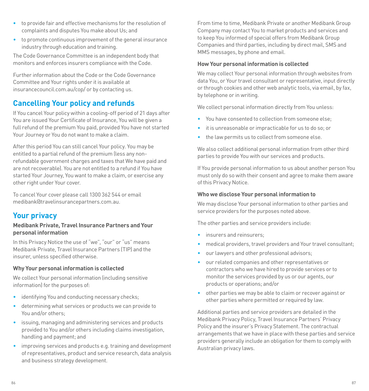- to provide fair and effective mechanisms for the resolution of complaints and disputes You make about Us; and
- to promote continuous improvement of the general insurance industry through education and training.

The Code Governance Committee is an independent body that monitors and enforces insurers compliance with the Code.

Further information about the Code or the Code Governance Committee and Your rights under it is available at [insurancecouncil.com.au/cop/](https://insurancecouncil.com.au/cop/) or by contacting us.

## <span id="page-43-0"></span>**Cancelling Your policy and refunds**

If You cancel Your policy within a cooling-off period of 21 days after You are issued Your Certificate of Insurance, You will be given a full refund of the premium You paid, provided You have not started Your Journey or You do not want to make a claim.

After this period You can still cancel Your policy. You may be entitled to a partial refund of the premium (less any nonrefundable government charges and taxes that We have paid and are not recoverable). You are not entitled to a refund if You have started Your Journey, You want to make a claim, or exercise any other right under Your cover.

To cancel Your cover please call 1300 362 544 or email medibank@travelinsurancepartners.com.au.

### <span id="page-43-1"></span>**Your privacy**

#### **Medibank Private, Travel Insurance Partners and Your personal information**

In this Privacy Notice the use of "we", "our" or "us" means Medibank Private, Travel Insurance Partners (TIP) and the insurer, unless specified otherwise.

#### **Why Your personal information is collected**

We collect Your personal information (including sensitive information) for the purposes of:

- identifying You and conducting necessary checks;
- determining what services or products we can provide to You and/or others;
- issuing, managing and administering services and products provided to You and/or others including claims investigation, handling and payment; and
- improving services and products e.g. training and development of representatives, product and service research, data analysis and business strategy development.

From time to time, Medibank Private or another Medibank Group Company may contact You to market products and services and to keep You informed of special offers from Medibank Group Companies and third parties, including by direct mail, SMS and MMS messages, by phone and email.

#### **How Your personal information is collected**

We may collect Your personal information through websites from data You, or Your travel consultant or representative, input directly or through cookies and other web analytic tools, via email, by fax, by telephone or in writing.

We collect personal information directly from You unless:

- You have consented to collection from someone else;
- it is unreasonable or impracticable for us to do so; or
- the law permits us to collect from someone else.

We also collect additional personal information from other third parties to provide You with our services and products.

If You provide personal information to us about another person You must only do so with their consent and agree to make them aware of this Privacy Notice.

#### **Who we disclose Your personal information to**

We may disclose Your personal information to other parties and service providers for the purposes noted above.

The other parties and service providers include:

- insurers and reinsurers:
- medical providers, travel providers and Your travel consultant;
- our lawyers and other professional advisors;
- our related companies and other representatives or contractors who we have hired to provide services or to monitor the services provided by us or our agents, our products or operations; and/or
- other parties we may be able to claim or recover against or other parties where permitted or required by law.

Additional parties and service providers are detailed in the Medibank Privacy Policy, Travel Insurance Partners' Privacy Policy and the insurer's Privacy Statement. The contractual arrangements that we have in place with these parties and service providers generally include an obligation for them to comply with Australian privacy laws.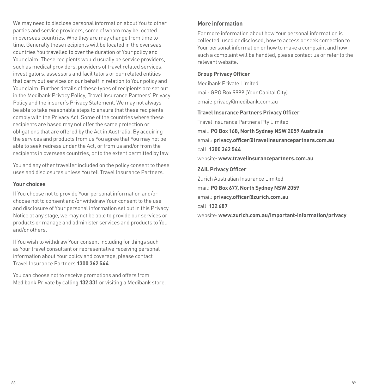We may need to disclose personal information about You to other parties and service providers, some of whom may be located in overseas countries. Who they are may change from time to time. Generally these recipients will be located in the overseas countries You travelled to over the duration of Your policy and Your claim. These recipients would usually be service providers, such as medical providers, providers of travel related services, investigators, assessors and facilitators or our related entities that carry out services on our behalf in relation to Your policy and Your claim. Further details of these types of recipients are set out in the Medibank Privacy Policy, Travel Insurance Partners' Privacy Policy and the insurer's Privacy Statement. We may not always be able to take reasonable steps to ensure that these recipients comply with the Privacy Act. Some of the countries where these recipients are based may not offer the same protection or obligations that are offered by the Act in Australia. By acquiring the services and products from us You agree that You may not be able to seek redress under the Act, or from us and/or from the recipients in overseas countries, or to the extent permitted by law.

You and any other traveller included on the policy consent to these uses and disclosures unless You tell Travel Insurance Partners.

#### **Your choices**

If You choose not to provide Your personal information and/or choose not to consent and/or withdraw Your consent to the use and disclosure of Your personal information set out in this Privacy Notice at any stage, we may not be able to provide our services or products or manage and administer services and products to You and/or others.

If You wish to withdraw Your consent including for things such as Your travel consultant or representative receiving personal information about Your policy and coverage, please contact Travel Insurance Partners **1300 362 544**.

You can choose not to receive promotions and offers from Medibank Private by calling **132 331** or visiting a Medibank store.

#### **More information**

For more information about how Your personal information is collected, used or disclosed, how to access or seek correction to Your personal information or how to make a complaint and how such a complaint will be handled, please contact us or refer to the relevant website.

#### **Group Privacy Officer**

Medibank Private Limited mail: GPO Box 9999 (Your Capital City) email: privacy@medibank.com.au

#### **Travel Insurance Partners Privacy Officer**

Travel Insurance Partners Pty Limited mail: **PO Box 168, North Sydney NSW 2059 Australia** email: **privacy.officer@travelinsurancepartners.com.au** call: **1300 362 544** website: **www.travelinsurancepartners.com.au**

#### **ZAIL Privacy Officer**

Zurich Australian Insurance Limited mail: **PO Box 677, North Sydney NSW 2059** email: **privacy.officer@zurich.com.au** call: **132 687**

website: **www.zurich.com.au/important-information/privacy**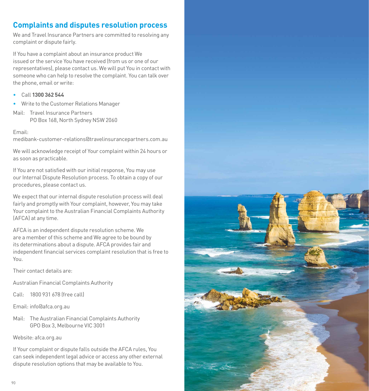## <span id="page-45-0"></span>**Complaints and disputes resolution process**

We and Travel Insurance Partners are committed to resolving any complaint or dispute fairly.

If You have a complaint about an insurance product We issued or the service You have received (from us or one of our representatives), please contact us. We will put You in contact with someone who can help to resolve the complaint. You can talk over the phone, email or write:

- Call **1300 362 544**
- Write to the Customer Relations Manager
- Mail: Travel Insurance Partners PO Box 168, North Sydney NSW 2060

#### Email:

medibank-customer-relations@travelinsurancepartners.com.au

We will acknowledge receipt of Your complaint within 24 hours or as soon as practicable.

If You are not satisfied with our initial response, You may use our Internal Dispute Resolution process. To obtain a copy of our procedures, please contact us.

We expect that our internal dispute resolution process will deal fairly and promptly with Your complaint, however, You may take Your complaint to the Australian Financial Complaints Authority (AFCA) at any time.

AFCA is an independent dispute resolution scheme. We are a member of this scheme and We agree to be bound by its determinations about a dispute. AFCA provides fair and independent financial services complaint resolution that is free to You.

Their contact details are:

- Australian Financial Complaints Authority
- Call: 1800 931 678 (free call)
- Email: info@afca.org.au
- Mail: The Australian Financial Complaints Authority GPO Box 3, Melbourne VIC 3001

#### Website: afca.org.au

If Your complaint or dispute falls outside the AFCA rules, You can seek independent legal advice or access any other external dispute resolution options that may be available to You.

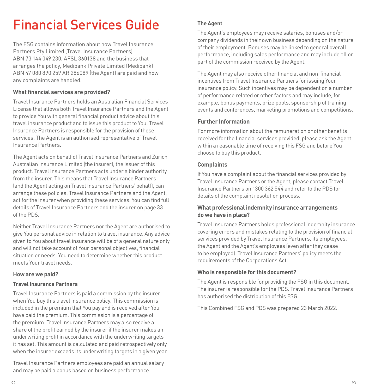## <span id="page-46-0"></span>Financial Services Guide

The FSG contains information about how Travel Insurance Partners Pty Limited (Travel Insurance Partners) ABN 73 144 049 230, AFSL 360138 and the business that arranges the policy, Medibank Private Limited (Medibank) ABN 47 080 890 259 AR 286089 (the Agent) are paid and how any complaints are handled.

#### **What financial services are provided?**

Travel Insurance Partners holds an Australian Financial Services License that allows both Travel Insurance Partners and the Agent to provide You with general financial product advice about this travel insurance product and to issue this product to You. Travel Insurance Partners is responsible for the provision of these services. The Agent is an authorised representative of Travel Insurance Partners.

The Agent acts on behalf of Travel Insurance Partners and Zurich Australian Insurance Limited (the insurer), the issuer of this product. Travel Insurance Partners acts under a binder authority from the insurer. This means that Travel Insurance Partners (and the Agent acting on Travel Insurance Partners' behalf), can arrange these policies. Travel Insurance Partners and the Agent, act for the insurer when providing these services. You can find full details of Travel Insurance Partners and the insurer on page [33](#page-16-2)  of the PDS.

Neither Travel Insurance Partners nor the Agent are authorised to give You personal advice in relation to travel insurance. Any advice given to You about travel insurance will be of a general nature only and will not take account of Your personal objectives, financial situation or needs. You need to determine whether this product meets Your travel needs.

#### **How are we paid?**

#### **Travel Insurance Partners**

Travel Insurance Partners is paid a commission by the insurer when You buy this travel insurance policy. This commission is included in the premium that You pay and is received after You have paid the premium. This commission is a percentage of the premium. Travel Insurance Partners may also receive a share of the profit earned by the insurer if the insurer makes an underwriting profit in accordance with the underwriting targets it has set. This amount is calculated and paid retrospectively only when the insurer exceeds its underwriting targets in a given year.

Travel Insurance Partners employees are paid an annual salary and may be paid a bonus based on business performance.

#### **The Agent**

The Agent's employees may receive salaries, bonuses and/or company dividends in their own business depending on the nature of their employment. Bonuses may be linked to general overall performance, including sales performance and may include all or part of the commission received by the Agent.

The Agent may also receive other financial and non-financial incentives from Travel Insurance Partners for issuing Your insurance policy. Such incentives may be dependent on a number of performance related or other factors and may include, for example, bonus payments, prize pools, sponsorship of training events and conferences, marketing promotions and competitions.

#### **Further Information**

For more information about the remuneration or other benefits received for the financial services provided, please ask the Agent within a reasonable time of receiving this FSG and before You choose to buy this product.

#### **Complaints**

If You have a complaint about the financial services provided by Travel Insurance Partners or the Agent, please contact Travel Insurance Partners on 1300 362 544 and refer to the PDS for details of the complaint resolution process.

#### **What professional indemnity insurance arrangements do we have in place?**

Travel Insurance Partners holds professional indemnity insurance covering errors and mistakes relating to the provision of financial services provided by Travel Insurance Partners, its employees, the Agent and the Agent's employees (even after they cease to be employed). Travel Insurance Partners' policy meets the requirements of the Corporations Act.

#### **Who is responsible for this document?**

The Agent is responsible for providing the FSG in this document. The insurer is responsible for the PDS. Travel Insurance Partners has authorised the distribution of this FSG.

<span id="page-46-1"></span>This Combined FSG and PDS was prepared 23 March 2022.